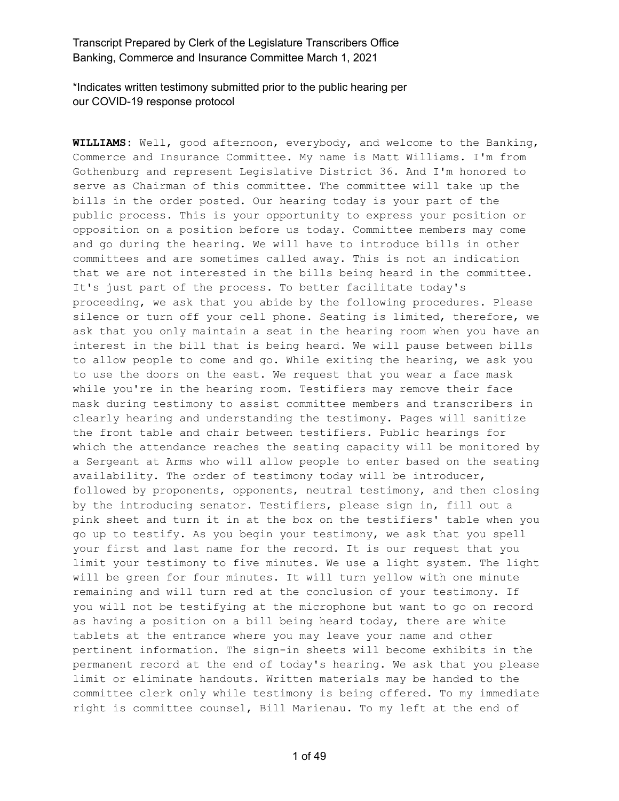\*Indicates written testimony submitted prior to the public hearing per our COVID-19 response protocol

**WILLIAMS:** Well, good afternoon, everybody, and welcome to the Banking, Commerce and Insurance Committee. My name is Matt Williams. I'm from Gothenburg and represent Legislative District 36. And I'm honored to serve as Chairman of this committee. The committee will take up the bills in the order posted. Our hearing today is your part of the public process. This is your opportunity to express your position or opposition on a position before us today. Committee members may come and go during the hearing. We will have to introduce bills in other committees and are sometimes called away. This is not an indication that we are not interested in the bills being heard in the committee. It's just part of the process. To better facilitate today's proceeding, we ask that you abide by the following procedures. Please silence or turn off your cell phone. Seating is limited, therefore, we ask that you only maintain a seat in the hearing room when you have an interest in the bill that is being heard. We will pause between bills to allow people to come and go. While exiting the hearing, we ask you to use the doors on the east. We request that you wear a face mask while you're in the hearing room. Testifiers may remove their face mask during testimony to assist committee members and transcribers in clearly hearing and understanding the testimony. Pages will sanitize the front table and chair between testifiers. Public hearings for which the attendance reaches the seating capacity will be monitored by a Sergeant at Arms who will allow people to enter based on the seating availability. The order of testimony today will be introducer, followed by proponents, opponents, neutral testimony, and then closing by the introducing senator. Testifiers, please sign in, fill out a pink sheet and turn it in at the box on the testifiers' table when you go up to testify. As you begin your testimony, we ask that you spell your first and last name for the record. It is our request that you limit your testimony to five minutes. We use a light system. The light will be green for four minutes. It will turn yellow with one minute remaining and will turn red at the conclusion of your testimony. If you will not be testifying at the microphone but want to go on record as having a position on a bill being heard today, there are white tablets at the entrance where you may leave your name and other pertinent information. The sign-in sheets will become exhibits in the permanent record at the end of today's hearing. We ask that you please limit or eliminate handouts. Written materials may be handed to the committee clerk only while testimony is being offered. To my immediate right is committee counsel, Bill Marienau. To my left at the end of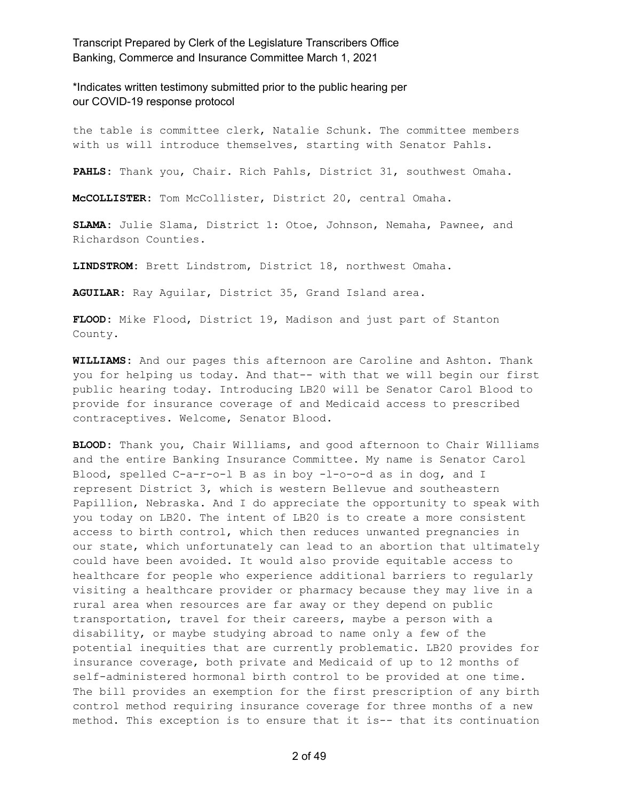\*Indicates written testimony submitted prior to the public hearing per our COVID-19 response protocol

the table is committee clerk, Natalie Schunk. The committee members with us will introduce themselves, starting with Senator Pahls.

**PAHLS:** Thank you, Chair. Rich Pahls, District 31, southwest Omaha.

**McCOLLISTER:** Tom McCollister, District 20, central Omaha.

**SLAMA:** Julie Slama, District 1: Otoe, Johnson, Nemaha, Pawnee, and Richardson Counties.

**LINDSTROM:** Brett Lindstrom, District 18, northwest Omaha.

**AGUILAR:** Ray Aguilar, District 35, Grand Island area.

**FLOOD:** Mike Flood, District 19, Madison and just part of Stanton County.

**WILLIAMS:** And our pages this afternoon are Caroline and Ashton. Thank you for helping us today. And that-- with that we will begin our first public hearing today. Introducing LB20 will be Senator Carol Blood to provide for insurance coverage of and Medicaid access to prescribed contraceptives. Welcome, Senator Blood.

**BLOOD:** Thank you, Chair Williams, and good afternoon to Chair Williams and the entire Banking Insurance Committee. My name is Senator Carol Blood, spelled C-a-r-o-l B as in boy -l-o-o-d as in dog, and I represent District 3, which is western Bellevue and southeastern Papillion, Nebraska. And I do appreciate the opportunity to speak with you today on LB20. The intent of LB20 is to create a more consistent access to birth control, which then reduces unwanted pregnancies in our state, which unfortunately can lead to an abortion that ultimately could have been avoided. It would also provide equitable access to healthcare for people who experience additional barriers to regularly visiting a healthcare provider or pharmacy because they may live in a rural area when resources are far away or they depend on public transportation, travel for their careers, maybe a person with a disability, or maybe studying abroad to name only a few of the potential inequities that are currently problematic. LB20 provides for insurance coverage, both private and Medicaid of up to 12 months of self-administered hormonal birth control to be provided at one time. The bill provides an exemption for the first prescription of any birth control method requiring insurance coverage for three months of a new method. This exception is to ensure that it is-- that its continuation

2 of 49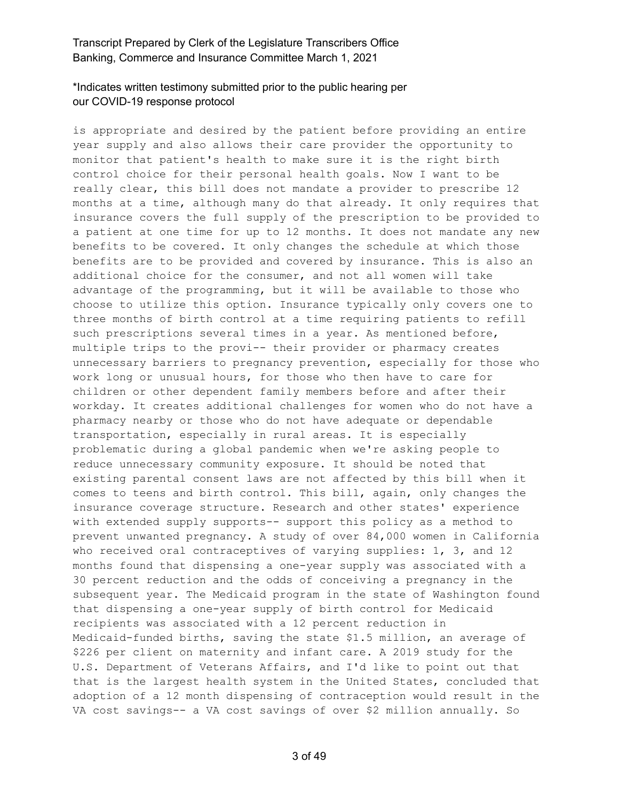# \*Indicates written testimony submitted prior to the public hearing per our COVID-19 response protocol

is appropriate and desired by the patient before providing an entire year supply and also allows their care provider the opportunity to monitor that patient's health to make sure it is the right birth control choice for their personal health goals. Now I want to be really clear, this bill does not mandate a provider to prescribe 12 months at a time, although many do that already. It only requires that insurance covers the full supply of the prescription to be provided to a patient at one time for up to 12 months. It does not mandate any new benefits to be covered. It only changes the schedule at which those benefits are to be provided and covered by insurance. This is also an additional choice for the consumer, and not all women will take advantage of the programming, but it will be available to those who choose to utilize this option. Insurance typically only covers one to three months of birth control at a time requiring patients to refill such prescriptions several times in a year. As mentioned before, multiple trips to the provi-- their provider or pharmacy creates unnecessary barriers to pregnancy prevention, especially for those who work long or unusual hours, for those who then have to care for children or other dependent family members before and after their workday. It creates additional challenges for women who do not have a pharmacy nearby or those who do not have adequate or dependable transportation, especially in rural areas. It is especially problematic during a global pandemic when we're asking people to reduce unnecessary community exposure. It should be noted that existing parental consent laws are not affected by this bill when it comes to teens and birth control. This bill, again, only changes the insurance coverage structure. Research and other states' experience with extended supply supports-- support this policy as a method to prevent unwanted pregnancy. A study of over 84,000 women in California who received oral contraceptives of varying supplies: 1, 3, and 12 months found that dispensing a one-year supply was associated with a 30 percent reduction and the odds of conceiving a pregnancy in the subsequent year. The Medicaid program in the state of Washington found that dispensing a one-year supply of birth control for Medicaid recipients was associated with a 12 percent reduction in Medicaid-funded births, saving the state \$1.5 million, an average of \$226 per client on maternity and infant care. A 2019 study for the U.S. Department of Veterans Affairs, and I'd like to point out that that is the largest health system in the United States, concluded that adoption of a 12 month dispensing of contraception would result in the VA cost savings-- a VA cost savings of over \$2 million annually. So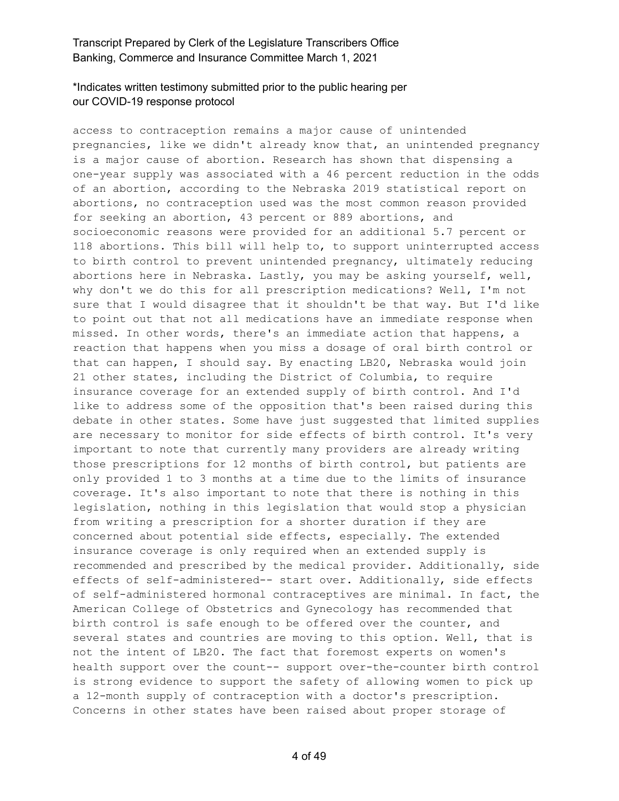# \*Indicates written testimony submitted prior to the public hearing per our COVID-19 response protocol

access to contraception remains a major cause of unintended pregnancies, like we didn't already know that, an unintended pregnancy is a major cause of abortion. Research has shown that dispensing a one-year supply was associated with a 46 percent reduction in the odds of an abortion, according to the Nebraska 2019 statistical report on abortions, no contraception used was the most common reason provided for seeking an abortion, 43 percent or 889 abortions, and socioeconomic reasons were provided for an additional 5.7 percent or 118 abortions. This bill will help to, to support uninterrupted access to birth control to prevent unintended pregnancy, ultimately reducing abortions here in Nebraska. Lastly, you may be asking yourself, well, why don't we do this for all prescription medications? Well, I'm not sure that I would disagree that it shouldn't be that way. But I'd like to point out that not all medications have an immediate response when missed. In other words, there's an immediate action that happens, a reaction that happens when you miss a dosage of oral birth control or that can happen, I should say. By enacting LB20, Nebraska would join 21 other states, including the District of Columbia, to require insurance coverage for an extended supply of birth control. And I'd like to address some of the opposition that's been raised during this debate in other states. Some have just suggested that limited supplies are necessary to monitor for side effects of birth control. It's very important to note that currently many providers are already writing those prescriptions for 12 months of birth control, but patients are only provided 1 to 3 months at a time due to the limits of insurance coverage. It's also important to note that there is nothing in this legislation, nothing in this legislation that would stop a physician from writing a prescription for a shorter duration if they are concerned about potential side effects, especially. The extended insurance coverage is only required when an extended supply is recommended and prescribed by the medical provider. Additionally, side effects of self-administered-- start over. Additionally, side effects of self-administered hormonal contraceptives are minimal. In fact, the American College of Obstetrics and Gynecology has recommended that birth control is safe enough to be offered over the counter, and several states and countries are moving to this option. Well, that is not the intent of LB20. The fact that foremost experts on women's health support over the count-- support over-the-counter birth control is strong evidence to support the safety of allowing women to pick up a 12-month supply of contraception with a doctor's prescription. Concerns in other states have been raised about proper storage of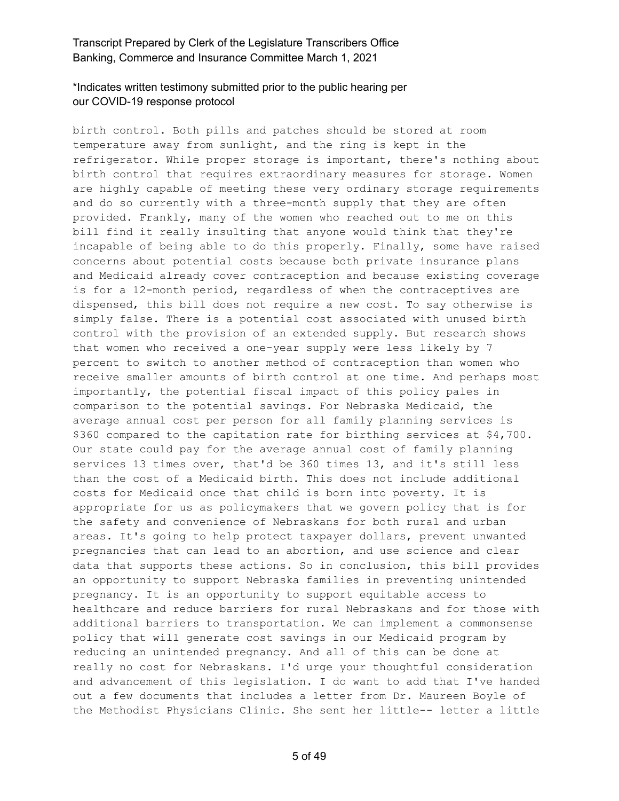# \*Indicates written testimony submitted prior to the public hearing per our COVID-19 response protocol

birth control. Both pills and patches should be stored at room temperature away from sunlight, and the ring is kept in the refrigerator. While proper storage is important, there's nothing about birth control that requires extraordinary measures for storage. Women are highly capable of meeting these very ordinary storage requirements and do so currently with a three-month supply that they are often provided. Frankly, many of the women who reached out to me on this bill find it really insulting that anyone would think that they're incapable of being able to do this properly. Finally, some have raised concerns about potential costs because both private insurance plans and Medicaid already cover contraception and because existing coverage is for a 12-month period, regardless of when the contraceptives are dispensed, this bill does not require a new cost. To say otherwise is simply false. There is a potential cost associated with unused birth control with the provision of an extended supply. But research shows that women who received a one-year supply were less likely by 7 percent to switch to another method of contraception than women who receive smaller amounts of birth control at one time. And perhaps most importantly, the potential fiscal impact of this policy pales in comparison to the potential savings. For Nebraska Medicaid, the average annual cost per person for all family planning services is \$360 compared to the capitation rate for birthing services at \$4,700. Our state could pay for the average annual cost of family planning services 13 times over, that'd be 360 times 13, and it's still less than the cost of a Medicaid birth. This does not include additional costs for Medicaid once that child is born into poverty. It is appropriate for us as policymakers that we govern policy that is for the safety and convenience of Nebraskans for both rural and urban areas. It's going to help protect taxpayer dollars, prevent unwanted pregnancies that can lead to an abortion, and use science and clear data that supports these actions. So in conclusion, this bill provides an opportunity to support Nebraska families in preventing unintended pregnancy. It is an opportunity to support equitable access to healthcare and reduce barriers for rural Nebraskans and for those with additional barriers to transportation. We can implement a commonsense policy that will generate cost savings in our Medicaid program by reducing an unintended pregnancy. And all of this can be done at really no cost for Nebraskans. I'd urge your thoughtful consideration and advancement of this legislation. I do want to add that I've handed out a few documents that includes a letter from Dr. Maureen Boyle of the Methodist Physicians Clinic. She sent her little-- letter a little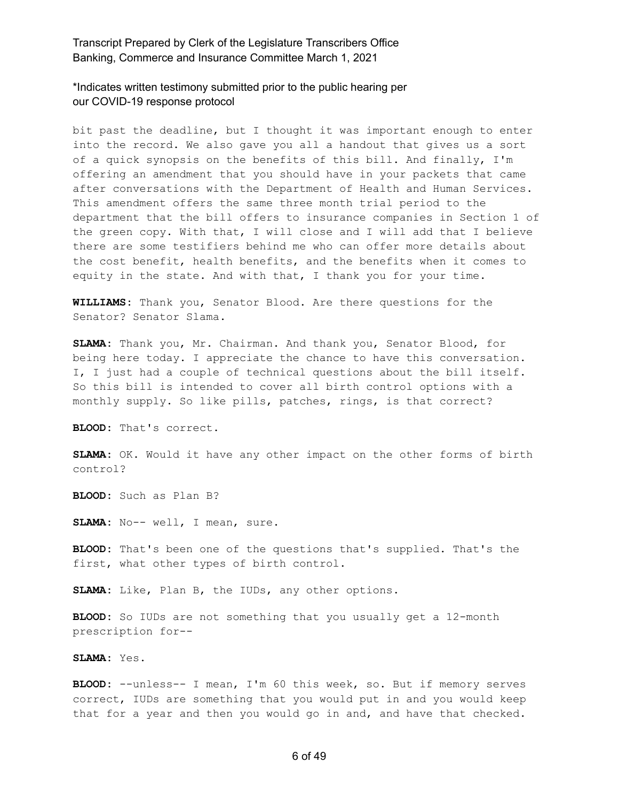\*Indicates written testimony submitted prior to the public hearing per our COVID-19 response protocol

bit past the deadline, but I thought it was important enough to enter into the record. We also gave you all a handout that gives us a sort of a quick synopsis on the benefits of this bill. And finally, I'm offering an amendment that you should have in your packets that came after conversations with the Department of Health and Human Services. This amendment offers the same three month trial period to the department that the bill offers to insurance companies in Section 1 of the green copy. With that, I will close and I will add that I believe there are some testifiers behind me who can offer more details about the cost benefit, health benefits, and the benefits when it comes to equity in the state. And with that, I thank you for your time.

**WILLIAMS:** Thank you, Senator Blood. Are there questions for the Senator? Senator Slama.

**SLAMA:** Thank you, Mr. Chairman. And thank you, Senator Blood, for being here today. I appreciate the chance to have this conversation. I, I just had a couple of technical questions about the bill itself. So this bill is intended to cover all birth control options with a monthly supply. So like pills, patches, rings, is that correct?

**BLOOD:** That's correct.

**SLAMA:** OK. Would it have any other impact on the other forms of birth control?

**BLOOD:** Such as Plan B?

**SLAMA:** No-- well, I mean, sure.

**BLOOD:** That's been one of the questions that's supplied. That's the first, what other types of birth control.

**SLAMA:** Like, Plan B, the IUDs, any other options.

**BLOOD:** So IUDs are not something that you usually get a 12-month prescription for--

**SLAMA:** Yes.

**BLOOD:** --unless-- I mean, I'm 60 this week, so. But if memory serves correct, IUDs are something that you would put in and you would keep that for a year and then you would go in and, and have that checked.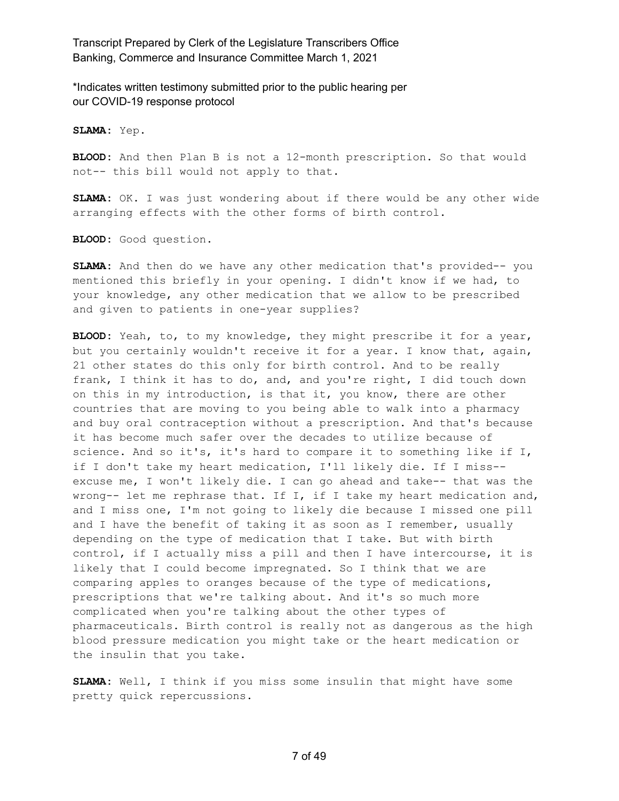\*Indicates written testimony submitted prior to the public hearing per our COVID-19 response protocol

**SLAMA:** Yep.

**BLOOD:** And then Plan B is not a 12-month prescription. So that would not-- this bill would not apply to that.

**SLAMA:** OK. I was just wondering about if there would be any other wide arranging effects with the other forms of birth control.

**BLOOD:** Good question.

**SLAMA:** And then do we have any other medication that's provided-- you mentioned this briefly in your opening. I didn't know if we had, to your knowledge, any other medication that we allow to be prescribed and given to patients in one-year supplies?

**BLOOD:** Yeah, to, to my knowledge, they might prescribe it for a year, but you certainly wouldn't receive it for a year. I know that, again, 21 other states do this only for birth control. And to be really frank, I think it has to do, and, and you're right, I did touch down on this in my introduction, is that it, you know, there are other countries that are moving to you being able to walk into a pharmacy and buy oral contraception without a prescription. And that's because it has become much safer over the decades to utilize because of science. And so it's, it's hard to compare it to something like if I, if I don't take my heart medication, I'll likely die. If I miss- excuse me, I won't likely die. I can go ahead and take-- that was the wrong-- let me rephrase that. If I, if I take my heart medication and, and I miss one, I'm not going to likely die because I missed one pill and I have the benefit of taking it as soon as I remember, usually depending on the type of medication that I take. But with birth control, if I actually miss a pill and then I have intercourse, it is likely that I could become impregnated. So I think that we are comparing apples to oranges because of the type of medications, prescriptions that we're talking about. And it's so much more complicated when you're talking about the other types of pharmaceuticals. Birth control is really not as dangerous as the high blood pressure medication you might take or the heart medication or the insulin that you take.

**SLAMA:** Well, I think if you miss some insulin that might have some pretty quick repercussions.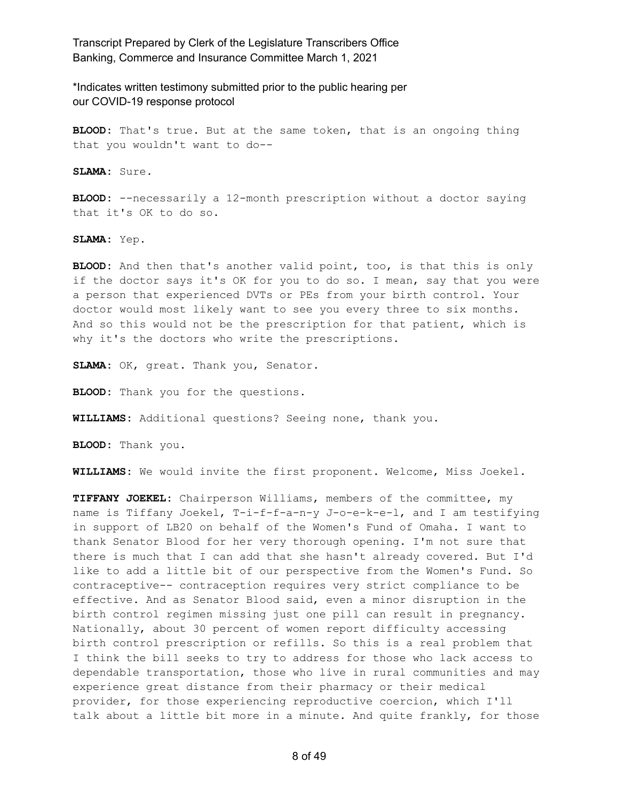\*Indicates written testimony submitted prior to the public hearing per our COVID-19 response protocol

**BLOOD:** That's true. But at the same token, that is an ongoing thing that you wouldn't want to do--

**SLAMA:** Sure.

**BLOOD:** --necessarily a 12-month prescription without a doctor saying that it's OK to do so.

**SLAMA:** Yep.

**BLOOD:** And then that's another valid point, too, is that this is only if the doctor says it's OK for you to do so. I mean, say that you were a person that experienced DVTs or PEs from your birth control. Your doctor would most likely want to see you every three to six months. And so this would not be the prescription for that patient, which is why it's the doctors who write the prescriptions.

**SLAMA:** OK, great. Thank you, Senator.

**BLOOD:** Thank you for the questions.

**WILLIAMS:** Additional questions? Seeing none, thank you.

**BLOOD:** Thank you.

**WILLIAMS:** We would invite the first proponent. Welcome, Miss Joekel.

**TIFFANY JOEKEL:** Chairperson Williams, members of the committee, my name is Tiffany Joekel, T-i-f-f-a-n-y J-o-e-k-e-l, and I am testifying in support of LB20 on behalf of the Women's Fund of Omaha. I want to thank Senator Blood for her very thorough opening. I'm not sure that there is much that I can add that she hasn't already covered. But I'd like to add a little bit of our perspective from the Women's Fund. So contraceptive-- contraception requires very strict compliance to be effective. And as Senator Blood said, even a minor disruption in the birth control regimen missing just one pill can result in pregnancy. Nationally, about 30 percent of women report difficulty accessing birth control prescription or refills. So this is a real problem that I think the bill seeks to try to address for those who lack access to dependable transportation, those who live in rural communities and may experience great distance from their pharmacy or their medical provider, for those experiencing reproductive coercion, which I'll talk about a little bit more in a minute. And quite frankly, for those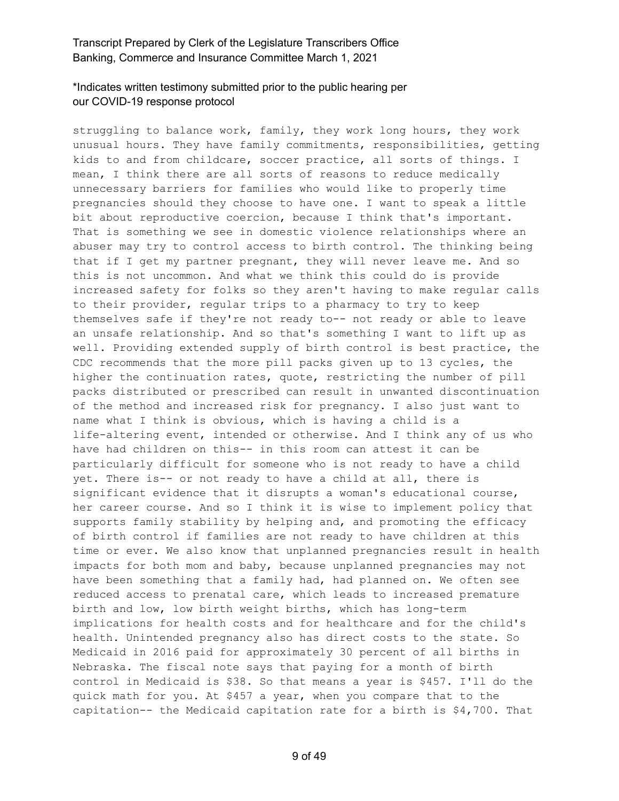# \*Indicates written testimony submitted prior to the public hearing per our COVID-19 response protocol

struggling to balance work, family, they work long hours, they work unusual hours. They have family commitments, responsibilities, getting kids to and from childcare, soccer practice, all sorts of things. I mean, I think there are all sorts of reasons to reduce medically unnecessary barriers for families who would like to properly time pregnancies should they choose to have one. I want to speak a little bit about reproductive coercion, because I think that's important. That is something we see in domestic violence relationships where an abuser may try to control access to birth control. The thinking being that if I get my partner pregnant, they will never leave me. And so this is not uncommon. And what we think this could do is provide increased safety for folks so they aren't having to make regular calls to their provider, regular trips to a pharmacy to try to keep themselves safe if they're not ready to-- not ready or able to leave an unsafe relationship. And so that's something I want to lift up as well. Providing extended supply of birth control is best practice, the CDC recommends that the more pill packs given up to 13 cycles, the higher the continuation rates, quote, restricting the number of pill packs distributed or prescribed can result in unwanted discontinuation of the method and increased risk for pregnancy. I also just want to name what I think is obvious, which is having a child is a life-altering event, intended or otherwise. And I think any of us who have had children on this-- in this room can attest it can be particularly difficult for someone who is not ready to have a child yet. There is-- or not ready to have a child at all, there is significant evidence that it disrupts a woman's educational course, her career course. And so I think it is wise to implement policy that supports family stability by helping and, and promoting the efficacy of birth control if families are not ready to have children at this time or ever. We also know that unplanned pregnancies result in health impacts for both mom and baby, because unplanned pregnancies may not have been something that a family had, had planned on. We often see reduced access to prenatal care, which leads to increased premature birth and low, low birth weight births, which has long-term implications for health costs and for healthcare and for the child's health. Unintended pregnancy also has direct costs to the state. So Medicaid in 2016 paid for approximately 30 percent of all births in Nebraska. The fiscal note says that paying for a month of birth control in Medicaid is \$38. So that means a year is \$457. I'll do the quick math for you. At \$457 a year, when you compare that to the capitation-- the Medicaid capitation rate for a birth is \$4,700. That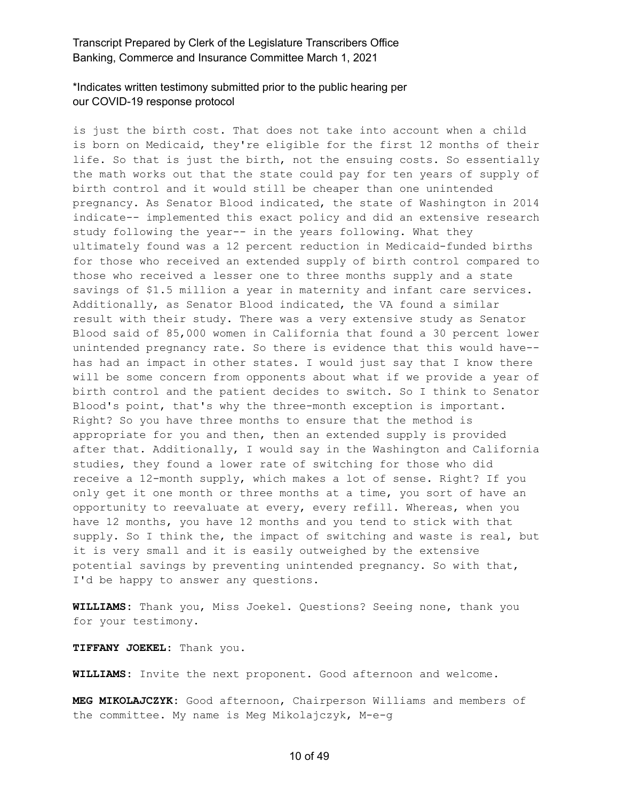#### \*Indicates written testimony submitted prior to the public hearing per our COVID-19 response protocol

is just the birth cost. That does not take into account when a child is born on Medicaid, they're eligible for the first 12 months of their life. So that is just the birth, not the ensuing costs. So essentially the math works out that the state could pay for ten years of supply of birth control and it would still be cheaper than one unintended pregnancy. As Senator Blood indicated, the state of Washington in 2014 indicate-- implemented this exact policy and did an extensive research study following the year-- in the years following. What they ultimately found was a 12 percent reduction in Medicaid-funded births for those who received an extended supply of birth control compared to those who received a lesser one to three months supply and a state savings of \$1.5 million a year in maternity and infant care services. Additionally, as Senator Blood indicated, the VA found a similar result with their study. There was a very extensive study as Senator Blood said of 85,000 women in California that found a 30 percent lower unintended pregnancy rate. So there is evidence that this would have- has had an impact in other states. I would just say that I know there will be some concern from opponents about what if we provide a year of birth control and the patient decides to switch. So I think to Senator Blood's point, that's why the three-month exception is important. Right? So you have three months to ensure that the method is appropriate for you and then, then an extended supply is provided after that. Additionally, I would say in the Washington and California studies, they found a lower rate of switching for those who did receive a 12-month supply, which makes a lot of sense. Right? If you only get it one month or three months at a time, you sort of have an opportunity to reevaluate at every, every refill. Whereas, when you have 12 months, you have 12 months and you tend to stick with that supply. So I think the, the impact of switching and waste is real, but it is very small and it is easily outweighed by the extensive potential savings by preventing unintended pregnancy. So with that, I'd be happy to answer any questions.

**WILLIAMS:** Thank you, Miss Joekel. Questions? Seeing none, thank you for your testimony.

**TIFFANY JOEKEL:** Thank you.

**WILLIAMS:** Invite the next proponent. Good afternoon and welcome.

**MEG MIKOLAJCZYK:** Good afternoon, Chairperson Williams and members of the committee. My name is Meg Mikolajczyk, M-e-g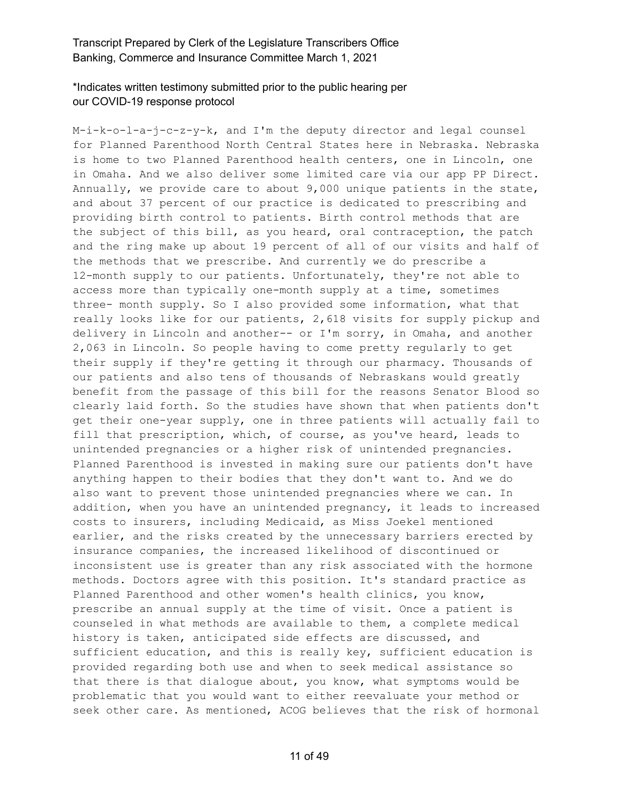# \*Indicates written testimony submitted prior to the public hearing per our COVID-19 response protocol

M-i-k-o-l-a-j-c-z-y-k, and I'm the deputy director and legal counsel for Planned Parenthood North Central States here in Nebraska. Nebraska is home to two Planned Parenthood health centers, one in Lincoln, one in Omaha. And we also deliver some limited care via our app PP Direct. Annually, we provide care to about 9,000 unique patients in the state, and about 37 percent of our practice is dedicated to prescribing and providing birth control to patients. Birth control methods that are the subject of this bill, as you heard, oral contraception, the patch and the ring make up about 19 percent of all of our visits and half of the methods that we prescribe. And currently we do prescribe a 12-month supply to our patients. Unfortunately, they're not able to access more than typically one-month supply at a time, sometimes three- month supply. So I also provided some information, what that really looks like for our patients, 2,618 visits for supply pickup and delivery in Lincoln and another-- or I'm sorry, in Omaha, and another 2,063 in Lincoln. So people having to come pretty regularly to get their supply if they're getting it through our pharmacy. Thousands of our patients and also tens of thousands of Nebraskans would greatly benefit from the passage of this bill for the reasons Senator Blood so clearly laid forth. So the studies have shown that when patients don't get their one-year supply, one in three patients will actually fail to fill that prescription, which, of course, as you've heard, leads to unintended pregnancies or a higher risk of unintended pregnancies. Planned Parenthood is invested in making sure our patients don't have anything happen to their bodies that they don't want to. And we do also want to prevent those unintended pregnancies where we can. In addition, when you have an unintended pregnancy, it leads to increased costs to insurers, including Medicaid, as Miss Joekel mentioned earlier, and the risks created by the unnecessary barriers erected by insurance companies, the increased likelihood of discontinued or inconsistent use is greater than any risk associated with the hormone methods. Doctors agree with this position. It's standard practice as Planned Parenthood and other women's health clinics, you know, prescribe an annual supply at the time of visit. Once a patient is counseled in what methods are available to them, a complete medical history is taken, anticipated side effects are discussed, and sufficient education, and this is really key, sufficient education is provided regarding both use and when to seek medical assistance so that there is that dialogue about, you know, what symptoms would be problematic that you would want to either reevaluate your method or seek other care. As mentioned, ACOG believes that the risk of hormonal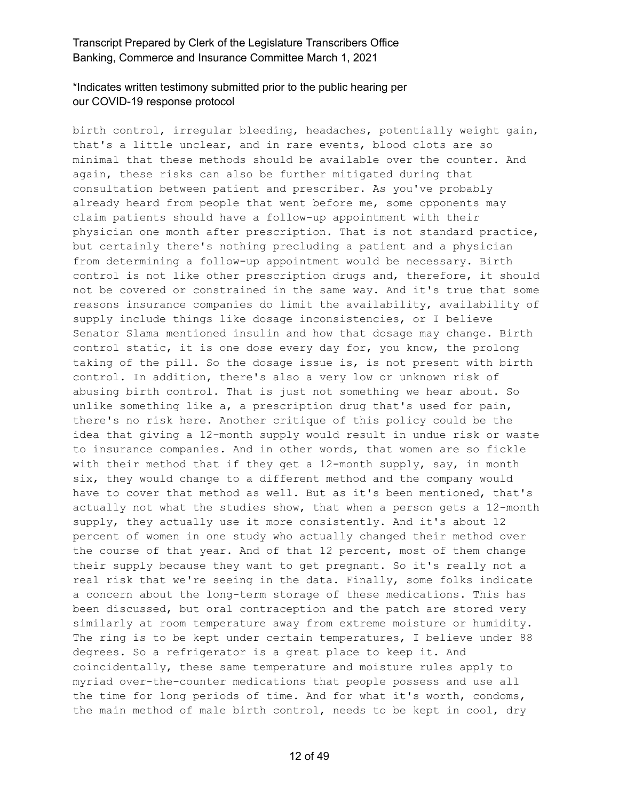# \*Indicates written testimony submitted prior to the public hearing per our COVID-19 response protocol

birth control, irregular bleeding, headaches, potentially weight gain, that's a little unclear, and in rare events, blood clots are so minimal that these methods should be available over the counter. And again, these risks can also be further mitigated during that consultation between patient and prescriber. As you've probably already heard from people that went before me, some opponents may claim patients should have a follow-up appointment with their physician one month after prescription. That is not standard practice, but certainly there's nothing precluding a patient and a physician from determining a follow-up appointment would be necessary. Birth control is not like other prescription drugs and, therefore, it should not be covered or constrained in the same way. And it's true that some reasons insurance companies do limit the availability, availability of supply include things like dosage inconsistencies, or I believe Senator Slama mentioned insulin and how that dosage may change. Birth control static, it is one dose every day for, you know, the prolong taking of the pill. So the dosage issue is, is not present with birth control. In addition, there's also a very low or unknown risk of abusing birth control. That is just not something we hear about. So unlike something like a, a prescription drug that's used for pain, there's no risk here. Another critique of this policy could be the idea that giving a 12-month supply would result in undue risk or waste to insurance companies. And in other words, that women are so fickle with their method that if they get a 12-month supply, say, in month six, they would change to a different method and the company would have to cover that method as well. But as it's been mentioned, that's actually not what the studies show, that when a person gets a 12-month supply, they actually use it more consistently. And it's about 12 percent of women in one study who actually changed their method over the course of that year. And of that 12 percent, most of them change their supply because they want to get pregnant. So it's really not a real risk that we're seeing in the data. Finally, some folks indicate a concern about the long-term storage of these medications. This has been discussed, but oral contraception and the patch are stored very similarly at room temperature away from extreme moisture or humidity. The ring is to be kept under certain temperatures, I believe under 88 degrees. So a refrigerator is a great place to keep it. And coincidentally, these same temperature and moisture rules apply to myriad over-the-counter medications that people possess and use all the time for long periods of time. And for what it's worth, condoms, the main method of male birth control, needs to be kept in cool, dry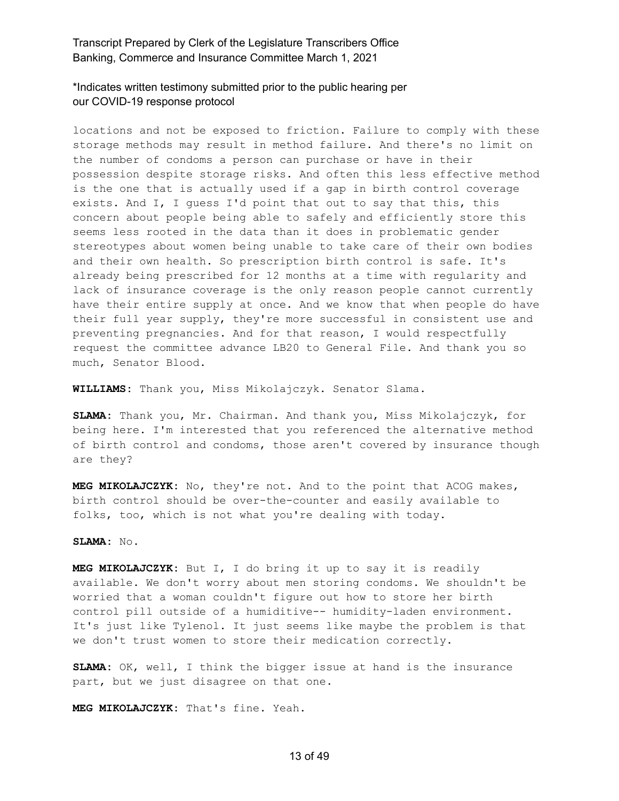\*Indicates written testimony submitted prior to the public hearing per our COVID-19 response protocol

locations and not be exposed to friction. Failure to comply with these storage methods may result in method failure. And there's no limit on the number of condoms a person can purchase or have in their possession despite storage risks. And often this less effective method is the one that is actually used if a gap in birth control coverage exists. And I, I guess I'd point that out to say that this, this concern about people being able to safely and efficiently store this seems less rooted in the data than it does in problematic gender stereotypes about women being unable to take care of their own bodies and their own health. So prescription birth control is safe. It's already being prescribed for 12 months at a time with regularity and lack of insurance coverage is the only reason people cannot currently have their entire supply at once. And we know that when people do have their full year supply, they're more successful in consistent use and preventing pregnancies. And for that reason, I would respectfully request the committee advance LB20 to General File. And thank you so much, Senator Blood.

**WILLIAMS:** Thank you, Miss Mikolajczyk. Senator Slama.

**SLAMA:** Thank you, Mr. Chairman. And thank you, Miss Mikolajczyk, for being here. I'm interested that you referenced the alternative method of birth control and condoms, those aren't covered by insurance though are they?

**MEG MIKOLAJCZYK:** No, they're not. And to the point that ACOG makes, birth control should be over-the-counter and easily available to folks, too, which is not what you're dealing with today.

#### **SLAMA:** No.

**MEG MIKOLAJCZYK:** But I, I do bring it up to say it is readily available. We don't worry about men storing condoms. We shouldn't be worried that a woman couldn't figure out how to store her birth control pill outside of a humiditive-- humidity-laden environment. It's just like Tylenol. It just seems like maybe the problem is that we don't trust women to store their medication correctly.

**SLAMA:** OK, well, I think the bigger issue at hand is the insurance part, but we just disagree on that one.

**MEG MIKOLAJCZYK:** That's fine. Yeah.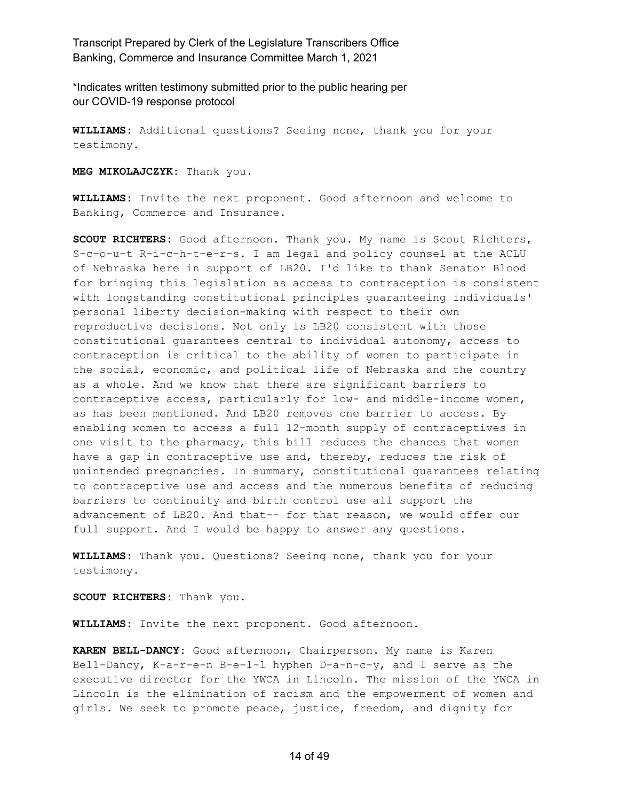\*Indicates written testimony submitted prior to the public hearing per our COVID-19 response protocol

**WILLIAMS:** Additional questions? Seeing none, thank you for your testimony.

**MEG MIKOLAJCZYK:** Thank you.

**WILLIAMS:** Invite the next proponent. Good afternoon and welcome to Banking, Commerce and Insurance.

**SCOUT RICHTERS:** Good afternoon. Thank you. My name is Scout Richters, S-c-o-u-t R-i-c-h-t-e-r-s. I am legal and policy counsel at the ACLU of Nebraska here in support of LB20. I'd like to thank Senator Blood for bringing this legislation as access to contraception is consistent with longstanding constitutional principles guaranteeing individuals' personal liberty decision-making with respect to their own reproductive decisions. Not only is LB20 consistent with those constitutional guarantees central to individual autonomy, access to contraception is critical to the ability of women to participate in the social, economic, and political life of Nebraska and the country as a whole. And we know that there are significant barriers to contraceptive access, particularly for low- and middle-income women, as has been mentioned. And LB20 removes one barrier to access. By enabling women to access a full 12-month supply of contraceptives in one visit to the pharmacy, this bill reduces the chances that women have a gap in contraceptive use and, thereby, reduces the risk of unintended pregnancies. In summary, constitutional guarantees relating to contraceptive use and access and the numerous benefits of reducing barriers to continuity and birth control use all support the advancement of LB20. And that-- for that reason, we would offer our full support. And I would be happy to answer any questions.

**WILLIAMS:** Thank you. Questions? Seeing none, thank you for your testimony.

**SCOUT RICHTERS:** Thank you.

**WILLIAMS:** Invite the next proponent. Good afternoon.

**KAREN BELL-DANCY:** Good afternoon, Chairperson. My name is Karen Bell-Dancy, K-a-r-e-n B-e-l-l hyphen D-a-n-c-y, and I serve as the executive director for the YWCA in Lincoln. The mission of the YWCA in Lincoln is the elimination of racism and the empowerment of women and girls. We seek to promote peace, justice, freedom, and dignity for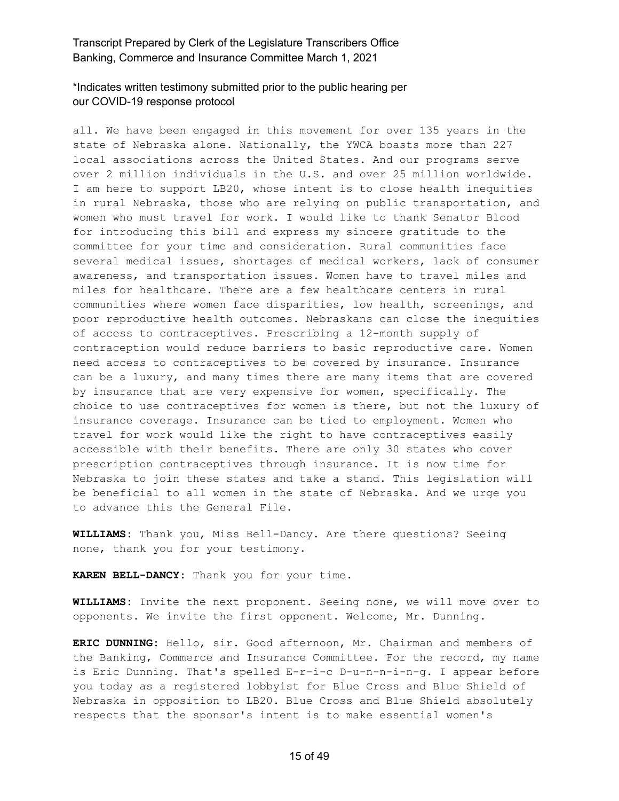#### \*Indicates written testimony submitted prior to the public hearing per our COVID-19 response protocol

all. We have been engaged in this movement for over 135 years in the state of Nebraska alone. Nationally, the YWCA boasts more than 227 local associations across the United States. And our programs serve over 2 million individuals in the U.S. and over 25 million worldwide. I am here to support LB20, whose intent is to close health inequities in rural Nebraska, those who are relying on public transportation, and women who must travel for work. I would like to thank Senator Blood for introducing this bill and express my sincere gratitude to the committee for your time and consideration. Rural communities face several medical issues, shortages of medical workers, lack of consumer awareness, and transportation issues. Women have to travel miles and miles for healthcare. There are a few healthcare centers in rural communities where women face disparities, low health, screenings, and poor reproductive health outcomes. Nebraskans can close the inequities of access to contraceptives. Prescribing a 12-month supply of contraception would reduce barriers to basic reproductive care. Women need access to contraceptives to be covered by insurance. Insurance can be a luxury, and many times there are many items that are covered by insurance that are very expensive for women, specifically. The choice to use contraceptives for women is there, but not the luxury of insurance coverage. Insurance can be tied to employment. Women who travel for work would like the right to have contraceptives easily accessible with their benefits. There are only 30 states who cover prescription contraceptives through insurance. It is now time for Nebraska to join these states and take a stand. This legislation will be beneficial to all women in the state of Nebraska. And we urge you to advance this the General File.

**WILLIAMS:** Thank you, Miss Bell-Dancy. Are there questions? Seeing none, thank you for your testimony.

**KAREN BELL-DANCY:** Thank you for your time.

**WILLIAMS:** Invite the next proponent. Seeing none, we will move over to opponents. We invite the first opponent. Welcome, Mr. Dunning.

**ERIC DUNNING:** Hello, sir. Good afternoon, Mr. Chairman and members of the Banking, Commerce and Insurance Committee. For the record, my name is Eric Dunning. That's spelled E-r-i-c D-u-n-n-i-n-g. I appear before you today as a registered lobbyist for Blue Cross and Blue Shield of Nebraska in opposition to LB20. Blue Cross and Blue Shield absolutely respects that the sponsor's intent is to make essential women's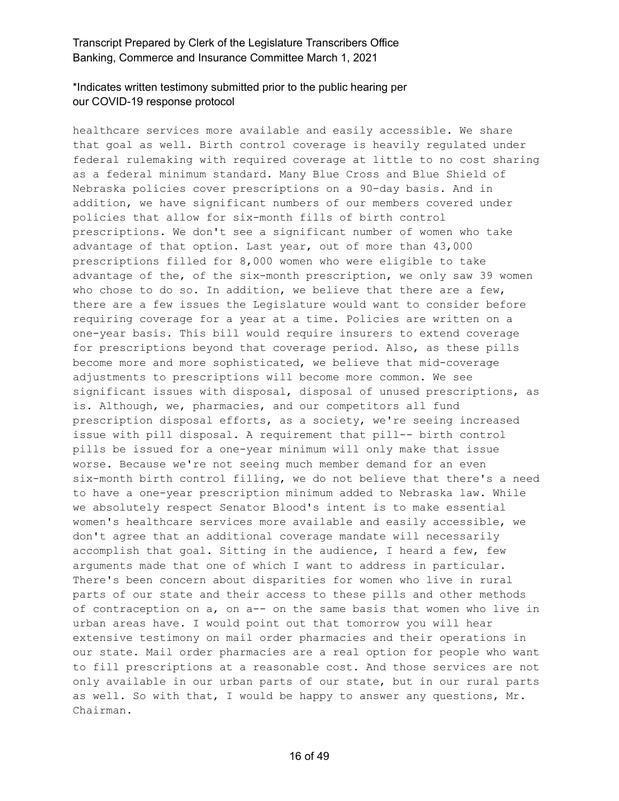# \*Indicates written testimony submitted prior to the public hearing per our COVID-19 response protocol

healthcare services more available and easily accessible. We share that goal as well. Birth control coverage is heavily regulated under federal rulemaking with required coverage at little to no cost sharing as a federal minimum standard. Many Blue Cross and Blue Shield of Nebraska policies cover prescriptions on a 90-day basis. And in addition, we have significant numbers of our members covered under policies that allow for six-month fills of birth control prescriptions. We don't see a significant number of women who take advantage of that option. Last year, out of more than 43,000 prescriptions filled for 8,000 women who were eligible to take advantage of the, of the six-month prescription, we only saw 39 women who chose to do so. In addition, we believe that there are a few, there are a few issues the Legislature would want to consider before requiring coverage for a year at a time. Policies are written on a one-year basis. This bill would require insurers to extend coverage for prescriptions beyond that coverage period. Also, as these pills become more and more sophisticated, we believe that mid-coverage adjustments to prescriptions will become more common. We see significant issues with disposal, disposal of unused prescriptions, as is. Although, we, pharmacies, and our competitors all fund prescription disposal efforts, as a society, we're seeing increased issue with pill disposal. A requirement that pill-- birth control pills be issued for a one-year minimum will only make that issue worse. Because we're not seeing much member demand for an even six-month birth control filling, we do not believe that there's a need to have a one-year prescription minimum added to Nebraska law. While we absolutely respect Senator Blood's intent is to make essential women's healthcare services more available and easily accessible, we don't agree that an additional coverage mandate will necessarily accomplish that goal. Sitting in the audience, I heard a few, few arguments made that one of which I want to address in particular. There's been concern about disparities for women who live in rural parts of our state and their access to these pills and other methods of contraception on a, on a-- on the same basis that women who live in urban areas have. I would point out that tomorrow you will hear extensive testimony on mail order pharmacies and their operations in our state. Mail order pharmacies are a real option for people who want to fill prescriptions at a reasonable cost. And those services are not only available in our urban parts of our state, but in our rural parts as well. So with that, I would be happy to answer any questions, Mr. Chairman.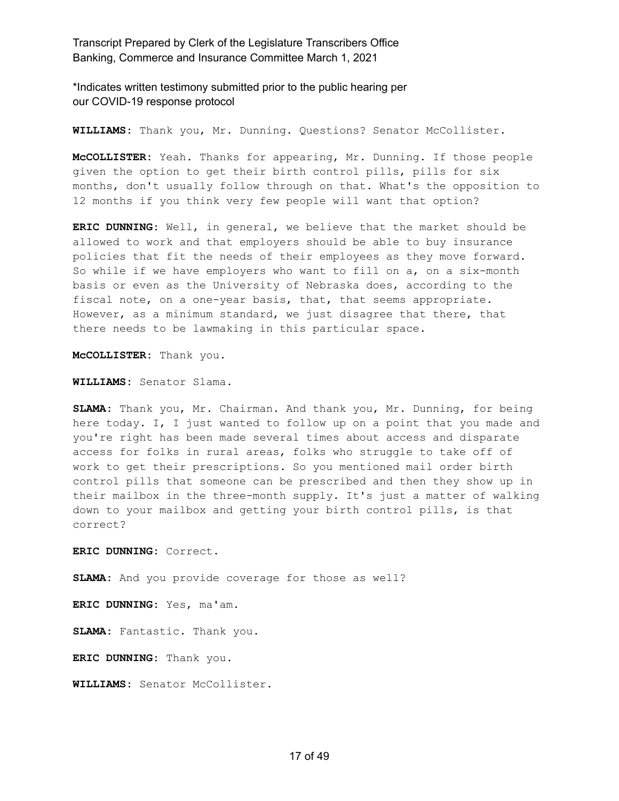\*Indicates written testimony submitted prior to the public hearing per our COVID-19 response protocol

**WILLIAMS:** Thank you, Mr. Dunning. Questions? Senator McCollister.

**McCOLLISTER:** Yeah. Thanks for appearing, Mr. Dunning. If those people given the option to get their birth control pills, pills for six months, don't usually follow through on that. What's the opposition to 12 months if you think very few people will want that option?

**ERIC DUNNING:** Well, in general, we believe that the market should be allowed to work and that employers should be able to buy insurance policies that fit the needs of their employees as they move forward. So while if we have employers who want to fill on a, on a six-month basis or even as the University of Nebraska does, according to the fiscal note, on a one-year basis, that, that seems appropriate. However, as a minimum standard, we just disagree that there, that there needs to be lawmaking in this particular space.

**McCOLLISTER:** Thank you.

**WILLIAMS:** Senator Slama.

**SLAMA:** Thank you, Mr. Chairman. And thank you, Mr. Dunning, for being here today. I, I just wanted to follow up on a point that you made and you're right has been made several times about access and disparate access for folks in rural areas, folks who struggle to take off of work to get their prescriptions. So you mentioned mail order birth control pills that someone can be prescribed and then they show up in their mailbox in the three-month supply. It's just a matter of walking down to your mailbox and getting your birth control pills, is that correct?

**ERIC DUNNING:** Correct.

**SLAMA:** And you provide coverage for those as well?

**ERIC DUNNING:** Yes, ma'am.

SLAMA: Fantastic. Thank you.

**ERIC DUNNING:** Thank you.

**WILLIAMS:** Senator McCollister.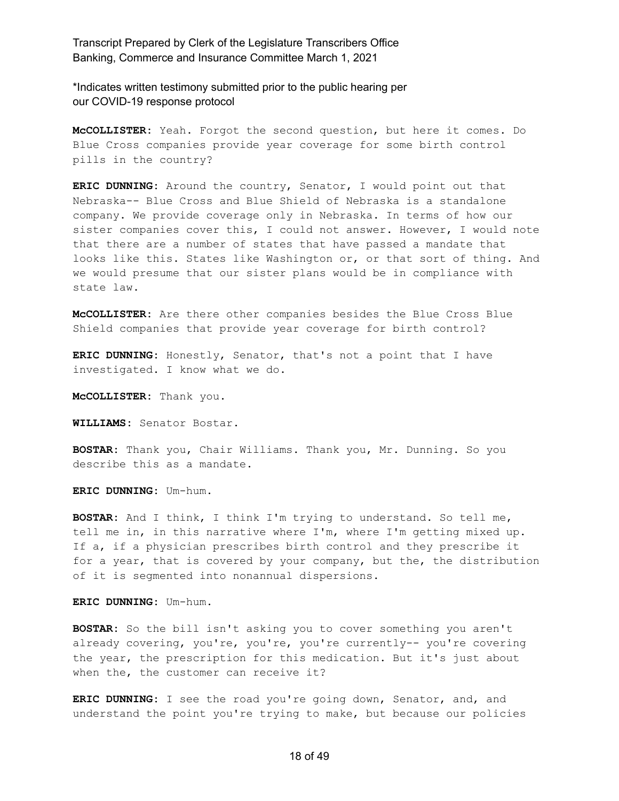\*Indicates written testimony submitted prior to the public hearing per our COVID-19 response protocol

**McCOLLISTER:** Yeah. Forgot the second question, but here it comes. Do Blue Cross companies provide year coverage for some birth control pills in the country?

**ERIC DUNNING:** Around the country, Senator, I would point out that Nebraska-- Blue Cross and Blue Shield of Nebraska is a standalone company. We provide coverage only in Nebraska. In terms of how our sister companies cover this, I could not answer. However, I would note that there are a number of states that have passed a mandate that looks like this. States like Washington or, or that sort of thing. And we would presume that our sister plans would be in compliance with state law.

**McCOLLISTER:** Are there other companies besides the Blue Cross Blue Shield companies that provide year coverage for birth control?

**ERIC DUNNING:** Honestly, Senator, that's not a point that I have investigated. I know what we do.

**McCOLLISTER:** Thank you.

**WILLIAMS:** Senator Bostar.

**BOSTAR:** Thank you, Chair Williams. Thank you, Mr. Dunning. So you describe this as a mandate.

**ERIC DUNNING:** Um-hum.

**BOSTAR:** And I think, I think I'm trying to understand. So tell me, tell me in, in this narrative where I'm, where I'm getting mixed up. If a, if a physician prescribes birth control and they prescribe it for a year, that is covered by your company, but the, the distribution of it is segmented into nonannual dispersions.

**ERIC DUNNING:** Um-hum.

**BOSTAR:** So the bill isn't asking you to cover something you aren't already covering, you're, you're, you're currently-- you're covering the year, the prescription for this medication. But it's just about when the, the customer can receive it?

**ERIC DUNNING:** I see the road you're going down, Senator, and, and understand the point you're trying to make, but because our policies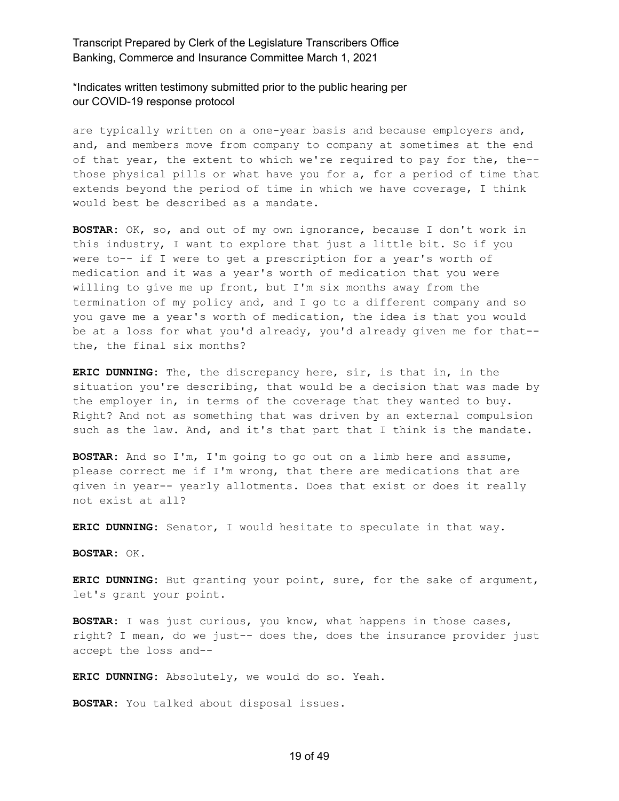\*Indicates written testimony submitted prior to the public hearing per our COVID-19 response protocol

are typically written on a one-year basis and because employers and, and, and members move from company to company at sometimes at the end of that year, the extent to which we're required to pay for the, the- those physical pills or what have you for a, for a period of time that extends beyond the period of time in which we have coverage, I think would best be described as a mandate.

**BOSTAR:** OK, so, and out of my own ignorance, because I don't work in this industry, I want to explore that just a little bit. So if you were to-- if I were to get a prescription for a year's worth of medication and it was a year's worth of medication that you were willing to give me up front, but I'm six months away from the termination of my policy and, and I go to a different company and so you gave me a year's worth of medication, the idea is that you would be at a loss for what you'd already, you'd already given me for that- the, the final six months?

**ERIC DUNNING:** The, the discrepancy here, sir, is that in, in the situation you're describing, that would be a decision that was made by the employer in, in terms of the coverage that they wanted to buy. Right? And not as something that was driven by an external compulsion such as the law. And, and it's that part that I think is the mandate.

**BOSTAR:** And so I'm, I'm going to go out on a limb here and assume, please correct me if I'm wrong, that there are medications that are given in year-- yearly allotments. Does that exist or does it really not exist at all?

**ERIC DUNNING:** Senator, I would hesitate to speculate in that way.

**BOSTAR:** OK.

**ERIC DUNNING:** But granting your point, sure, for the sake of argument, let's grant your point.

**BOSTAR:** I was just curious, you know, what happens in those cases, right? I mean, do we just-- does the, does the insurance provider just accept the loss and--

**ERIC DUNNING:** Absolutely, we would do so. Yeah.

**BOSTAR:** You talked about disposal issues.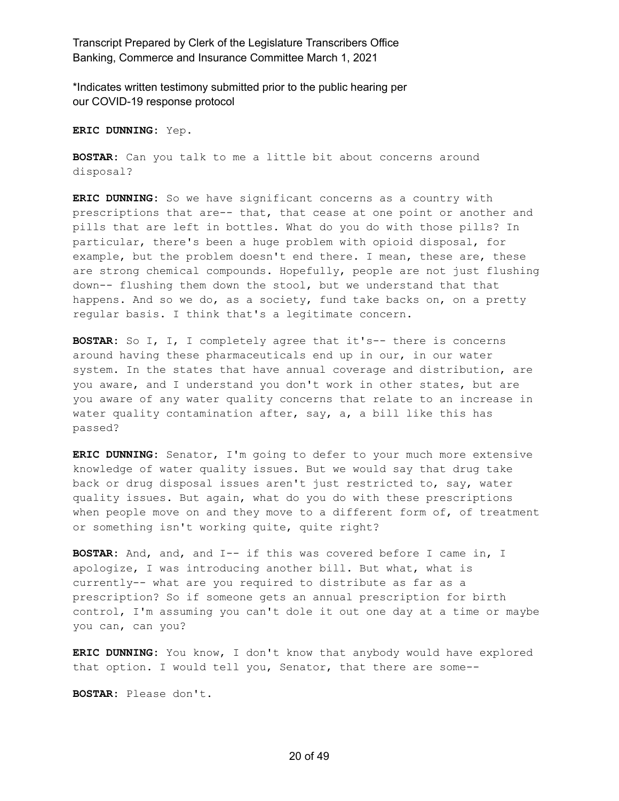\*Indicates written testimony submitted prior to the public hearing per our COVID-19 response protocol

**ERIC DUNNING:** Yep.

**BOSTAR:** Can you talk to me a little bit about concerns around disposal?

**ERIC DUNNING:** So we have significant concerns as a country with prescriptions that are-- that, that cease at one point or another and pills that are left in bottles. What do you do with those pills? In particular, there's been a huge problem with opioid disposal, for example, but the problem doesn't end there. I mean, these are, these are strong chemical compounds. Hopefully, people are not just flushing down-- flushing them down the stool, but we understand that that happens. And so we do, as a society, fund take backs on, on a pretty regular basis. I think that's a legitimate concern.

**BOSTAR:** So I, I, I completely agree that it's-- there is concerns around having these pharmaceuticals end up in our, in our water system. In the states that have annual coverage and distribution, are you aware, and I understand you don't work in other states, but are you aware of any water quality concerns that relate to an increase in water quality contamination after, say, a, a bill like this has passed?

**ERIC DUNNING:** Senator, I'm going to defer to your much more extensive knowledge of water quality issues. But we would say that drug take back or drug disposal issues aren't just restricted to, say, water quality issues. But again, what do you do with these prescriptions when people move on and they move to a different form of, of treatment or something isn't working quite, quite right?

**BOSTAR:** And, and, and I-- if this was covered before I came in, I apologize, I was introducing another bill. But what, what is currently-- what are you required to distribute as far as a prescription? So if someone gets an annual prescription for birth control, I'm assuming you can't dole it out one day at a time or maybe you can, can you?

**ERIC DUNNING:** You know, I don't know that anybody would have explored that option. I would tell you, Senator, that there are some--

**BOSTAR:** Please don't.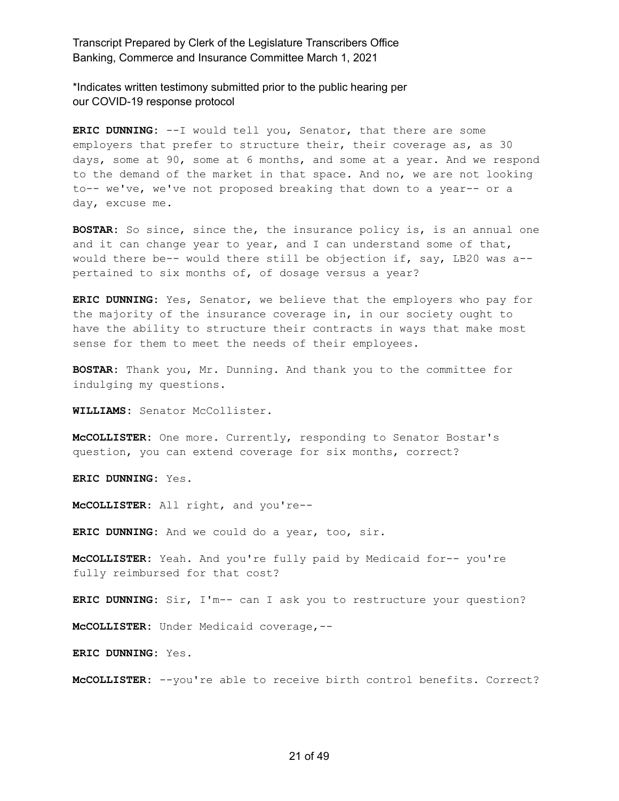\*Indicates written testimony submitted prior to the public hearing per our COVID-19 response protocol

**ERIC DUNNING:** --I would tell you, Senator, that there are some employers that prefer to structure their, their coverage as, as 30 days, some at 90, some at 6 months, and some at a year. And we respond to the demand of the market in that space. And no, we are not looking to-- we've, we've not proposed breaking that down to a year-- or a day, excuse me.

**BOSTAR:** So since, since the, the insurance policy is, is an annual one and it can change year to year, and I can understand some of that, would there be-- would there still be objection if, say, LB20 was a- pertained to six months of, of dosage versus a year?

**ERIC DUNNING:** Yes, Senator, we believe that the employers who pay for the majority of the insurance coverage in, in our society ought to have the ability to structure their contracts in ways that make most sense for them to meet the needs of their employees.

**BOSTAR:** Thank you, Mr. Dunning. And thank you to the committee for indulging my questions.

**WILLIAMS:** Senator McCollister.

**McCOLLISTER:** One more. Currently, responding to Senator Bostar's question, you can extend coverage for six months, correct?

**ERIC DUNNING:** Yes.

**McCOLLISTER:** All right, and you're--

**ERIC DUNNING:** And we could do a year, too, sir.

**McCOLLISTER:** Yeah. And you're fully paid by Medicaid for-- you're fully reimbursed for that cost?

**ERIC DUNNING:** Sir, I'm-- can I ask you to restructure your question?

**McCOLLISTER:** Under Medicaid coverage,--

**ERIC DUNNING:** Yes.

**McCOLLISTER:** --you're able to receive birth control benefits. Correct?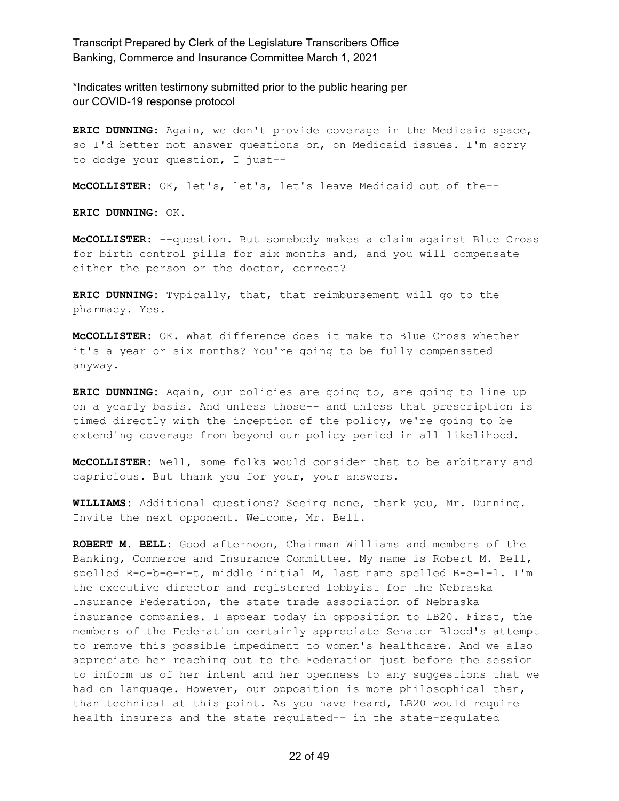\*Indicates written testimony submitted prior to the public hearing per our COVID-19 response protocol

**ERIC DUNNING:** Again, we don't provide coverage in the Medicaid space, so I'd better not answer questions on, on Medicaid issues. I'm sorry to dodge your question, I just--

**McCOLLISTER:** OK, let's, let's, let's leave Medicaid out of the--

**ERIC DUNNING:** OK.

**McCOLLISTER:** --question. But somebody makes a claim against Blue Cross for birth control pills for six months and, and you will compensate either the person or the doctor, correct?

**ERIC DUNNING:** Typically, that, that reimbursement will go to the pharmacy. Yes.

**McCOLLISTER:** OK. What difference does it make to Blue Cross whether it's a year or six months? You're going to be fully compensated anyway.

**ERIC DUNNING:** Again, our policies are going to, are going to line up on a yearly basis. And unless those-- and unless that prescription is timed directly with the inception of the policy, we're going to be extending coverage from beyond our policy period in all likelihood.

**McCOLLISTER:** Well, some folks would consider that to be arbitrary and capricious. But thank you for your, your answers.

**WILLIAMS:** Additional questions? Seeing none, thank you, Mr. Dunning. Invite the next opponent. Welcome, Mr. Bell.

**ROBERT M. BELL:** Good afternoon, Chairman Williams and members of the Banking, Commerce and Insurance Committee. My name is Robert M. Bell, spelled R-o-b-e-r-t, middle initial M, last name spelled B-e-l-l. I'm the executive director and registered lobbyist for the Nebraska Insurance Federation, the state trade association of Nebraska insurance companies. I appear today in opposition to LB20. First, the members of the Federation certainly appreciate Senator Blood's attempt to remove this possible impediment to women's healthcare. And we also appreciate her reaching out to the Federation just before the session to inform us of her intent and her openness to any suggestions that we had on language. However, our opposition is more philosophical than, than technical at this point. As you have heard, LB20 would require health insurers and the state regulated-- in the state-regulated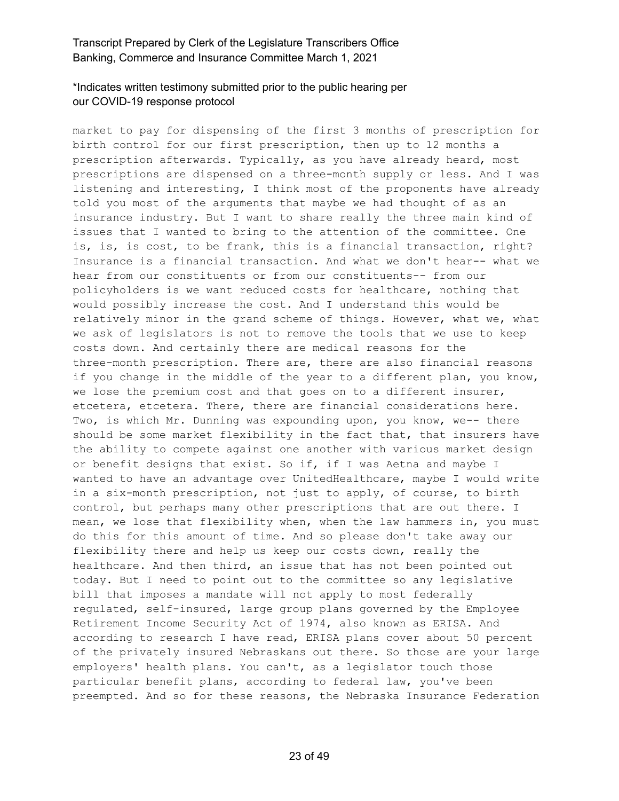# \*Indicates written testimony submitted prior to the public hearing per our COVID-19 response protocol

market to pay for dispensing of the first 3 months of prescription for birth control for our first prescription, then up to 12 months a prescription afterwards. Typically, as you have already heard, most prescriptions are dispensed on a three-month supply or less. And I was listening and interesting, I think most of the proponents have already told you most of the arguments that maybe we had thought of as an insurance industry. But I want to share really the three main kind of issues that I wanted to bring to the attention of the committee. One is, is, is cost, to be frank, this is a financial transaction, right? Insurance is a financial transaction. And what we don't hear-- what we hear from our constituents or from our constituents-- from our policyholders is we want reduced costs for healthcare, nothing that would possibly increase the cost. And I understand this would be relatively minor in the grand scheme of things. However, what we, what we ask of legislators is not to remove the tools that we use to keep costs down. And certainly there are medical reasons for the three-month prescription. There are, there are also financial reasons if you change in the middle of the year to a different plan, you know, we lose the premium cost and that goes on to a different insurer, etcetera, etcetera. There, there are financial considerations here. Two, is which Mr. Dunning was expounding upon, you know, we-- there should be some market flexibility in the fact that, that insurers have the ability to compete against one another with various market design or benefit designs that exist. So if, if I was Aetna and maybe I wanted to have an advantage over UnitedHealthcare, maybe I would write in a six-month prescription, not just to apply, of course, to birth control, but perhaps many other prescriptions that are out there. I mean, we lose that flexibility when, when the law hammers in, you must do this for this amount of time. And so please don't take away our flexibility there and help us keep our costs down, really the healthcare. And then third, an issue that has not been pointed out today. But I need to point out to the committee so any legislative bill that imposes a mandate will not apply to most federally regulated, self-insured, large group plans governed by the Employee Retirement Income Security Act of 1974, also known as ERISA. And according to research I have read, ERISA plans cover about 50 percent of the privately insured Nebraskans out there. So those are your large employers' health plans. You can't, as a legislator touch those particular benefit plans, according to federal law, you've been preempted. And so for these reasons, the Nebraska Insurance Federation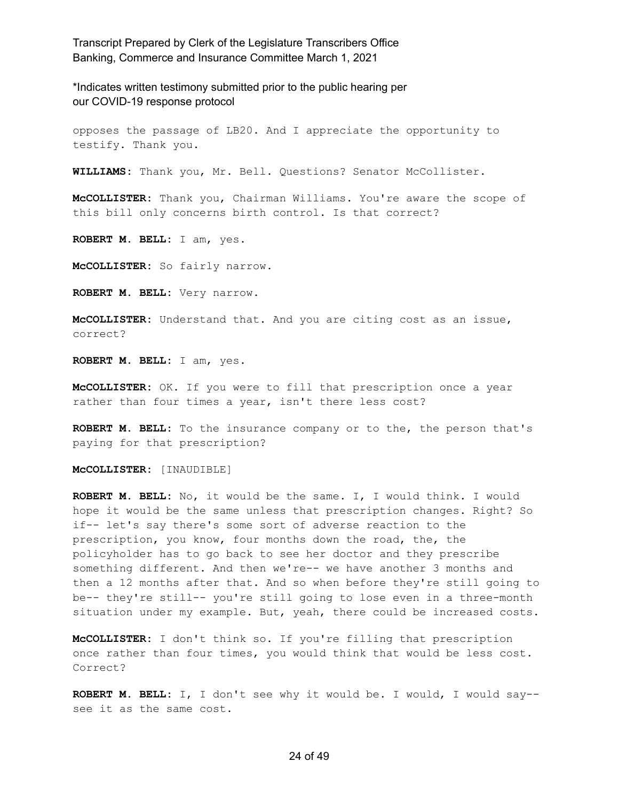\*Indicates written testimony submitted prior to the public hearing per our COVID-19 response protocol

opposes the passage of LB20. And I appreciate the opportunity to testify. Thank you.

**WILLIAMS:** Thank you, Mr. Bell. Questions? Senator McCollister.

**McCOLLISTER:** Thank you, Chairman Williams. You're aware the scope of this bill only concerns birth control. Is that correct?

**ROBERT M. BELL:** I am, yes.

**McCOLLISTER:** So fairly narrow.

**ROBERT M. BELL:** Very narrow.

**McCOLLISTER:** Understand that. And you are citing cost as an issue, correct?

**ROBERT M. BELL:** I am, yes.

**McCOLLISTER:** OK. If you were to fill that prescription once a year rather than four times a year, isn't there less cost?

**ROBERT M. BELL:** To the insurance company or to the, the person that's paying for that prescription?

**McCOLLISTER:** [INAUDIBLE]

**ROBERT M. BELL:** No, it would be the same. I, I would think. I would hope it would be the same unless that prescription changes. Right? So if-- let's say there's some sort of adverse reaction to the prescription, you know, four months down the road, the, the policyholder has to go back to see her doctor and they prescribe something different. And then we're-- we have another 3 months and then a 12 months after that. And so when before they're still going to be-- they're still-- you're still going to lose even in a three-month situation under my example. But, yeah, there could be increased costs.

**McCOLLISTER:** I don't think so. If you're filling that prescription once rather than four times, you would think that would be less cost. Correct?

**ROBERT M. BELL:** I, I don't see why it would be. I would, I would say- see it as the same cost.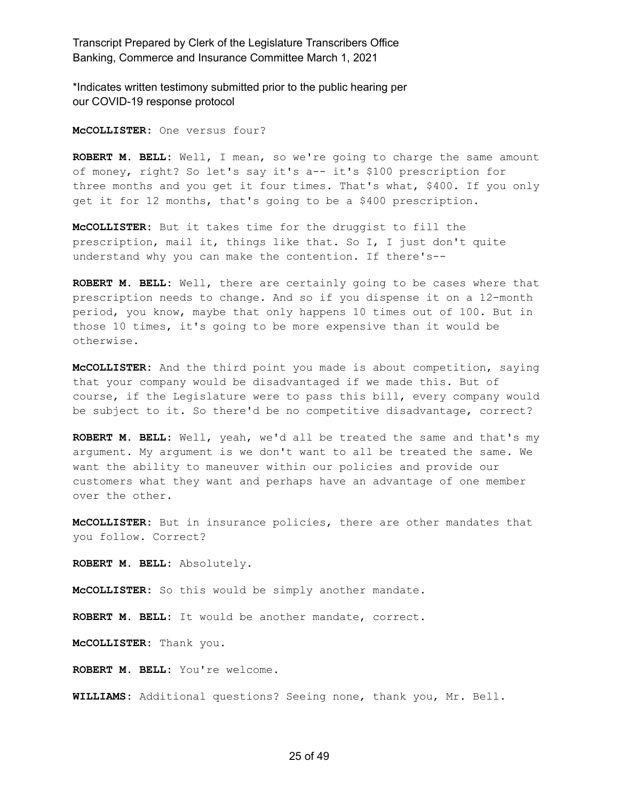\*Indicates written testimony submitted prior to the public hearing per our COVID-19 response protocol

**McCOLLISTER:** One versus four?

**ROBERT M. BELL:** Well, I mean, so we're going to charge the same amount of money, right? So let's say it's a-- it's \$100 prescription for three months and you get it four times. That's what, \$400. If you only get it for 12 months, that's going to be a \$400 prescription.

**McCOLLISTER:** But it takes time for the druggist to fill the prescription, mail it, things like that. So I, I just don't quite understand why you can make the contention. If there's--

**ROBERT M. BELL:** Well, there are certainly going to be cases where that prescription needs to change. And so if you dispense it on a 12-month period, you know, maybe that only happens 10 times out of 100. But in those 10 times, it's going to be more expensive than it would be otherwise.

**McCOLLISTER:** And the third point you made is about competition, saying that your company would be disadvantaged if we made this. But of course, if the Legislature were to pass this bill, every company would be subject to it. So there'd be no competitive disadvantage, correct?

**ROBERT M. BELL:** Well, yeah, we'd all be treated the same and that's my argument. My argument is we don't want to all be treated the same. We want the ability to maneuver within our policies and provide our customers what they want and perhaps have an advantage of one member over the other.

**McCOLLISTER:** But in insurance policies, there are other mandates that you follow. Correct?

**ROBERT M. BELL:** Absolutely.

**McCOLLISTER:** So this would be simply another mandate.

**ROBERT M. BELL:** It would be another mandate, correct.

**McCOLLISTER:** Thank you.

**ROBERT M. BELL:** You're welcome.

**WILLIAMS:** Additional questions? Seeing none, thank you, Mr. Bell.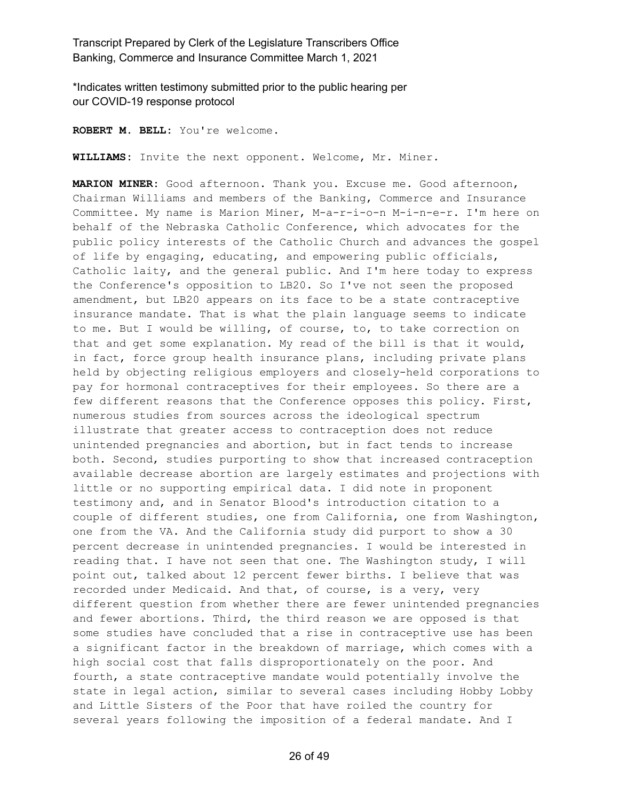\*Indicates written testimony submitted prior to the public hearing per our COVID-19 response protocol

**ROBERT M. BELL:** You're welcome.

**WILLIAMS:** Invite the next opponent. Welcome, Mr. Miner.

**MARION MINER:** Good afternoon. Thank you. Excuse me. Good afternoon, Chairman Williams and members of the Banking, Commerce and Insurance Committee. My name is Marion Miner, M-a-r-i-o-n M-i-n-e-r. I'm here on behalf of the Nebraska Catholic Conference, which advocates for the public policy interests of the Catholic Church and advances the gospel of life by engaging, educating, and empowering public officials, Catholic laity, and the general public. And I'm here today to express the Conference's opposition to LB20. So I've not seen the proposed amendment, but LB20 appears on its face to be a state contraceptive insurance mandate. That is what the plain language seems to indicate to me. But I would be willing, of course, to, to take correction on that and get some explanation. My read of the bill is that it would, in fact, force group health insurance plans, including private plans held by objecting religious employers and closely-held corporations to pay for hormonal contraceptives for their employees. So there are a few different reasons that the Conference opposes this policy. First, numerous studies from sources across the ideological spectrum illustrate that greater access to contraception does not reduce unintended pregnancies and abortion, but in fact tends to increase both. Second, studies purporting to show that increased contraception available decrease abortion are largely estimates and projections with little or no supporting empirical data. I did note in proponent testimony and, and in Senator Blood's introduction citation to a couple of different studies, one from California, one from Washington, one from the VA. And the California study did purport to show a 30 percent decrease in unintended pregnancies. I would be interested in reading that. I have not seen that one. The Washington study, I will point out, talked about 12 percent fewer births. I believe that was recorded under Medicaid. And that, of course, is a very, very different question from whether there are fewer unintended pregnancies and fewer abortions. Third, the third reason we are opposed is that some studies have concluded that a rise in contraceptive use has been a significant factor in the breakdown of marriage, which comes with a high social cost that falls disproportionately on the poor. And fourth, a state contraceptive mandate would potentially involve the state in legal action, similar to several cases including Hobby Lobby and Little Sisters of the Poor that have roiled the country for several years following the imposition of a federal mandate. And I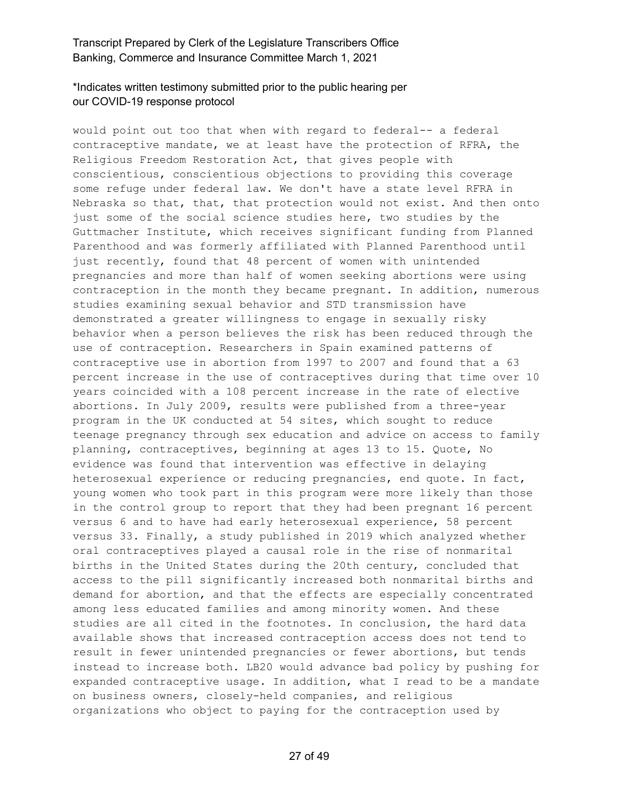# \*Indicates written testimony submitted prior to the public hearing per our COVID-19 response protocol

would point out too that when with regard to federal-- a federal contraceptive mandate, we at least have the protection of RFRA, the Religious Freedom Restoration Act, that gives people with conscientious, conscientious objections to providing this coverage some refuge under federal law. We don't have a state level RFRA in Nebraska so that, that, that protection would not exist. And then onto just some of the social science studies here, two studies by the Guttmacher Institute, which receives significant funding from Planned Parenthood and was formerly affiliated with Planned Parenthood until just recently, found that 48 percent of women with unintended pregnancies and more than half of women seeking abortions were using contraception in the month they became pregnant. In addition, numerous studies examining sexual behavior and STD transmission have demonstrated a greater willingness to engage in sexually risky behavior when a person believes the risk has been reduced through the use of contraception. Researchers in Spain examined patterns of contraceptive use in abortion from 1997 to 2007 and found that a 63 percent increase in the use of contraceptives during that time over 10 years coincided with a 108 percent increase in the rate of elective abortions. In July 2009, results were published from a three-year program in the UK conducted at 54 sites, which sought to reduce teenage pregnancy through sex education and advice on access to family planning, contraceptives, beginning at ages 13 to 15. Quote, No evidence was found that intervention was effective in delaying heterosexual experience or reducing pregnancies, end quote. In fact, young women who took part in this program were more likely than those in the control group to report that they had been pregnant 16 percent versus 6 and to have had early heterosexual experience, 58 percent versus 33. Finally, a study published in 2019 which analyzed whether oral contraceptives played a causal role in the rise of nonmarital births in the United States during the 20th century, concluded that access to the pill significantly increased both nonmarital births and demand for abortion, and that the effects are especially concentrated among less educated families and among minority women. And these studies are all cited in the footnotes. In conclusion, the hard data available shows that increased contraception access does not tend to result in fewer unintended pregnancies or fewer abortions, but tends instead to increase both. LB20 would advance bad policy by pushing for expanded contraceptive usage. In addition, what I read to be a mandate on business owners, closely-held companies, and religious organizations who object to paying for the contraception used by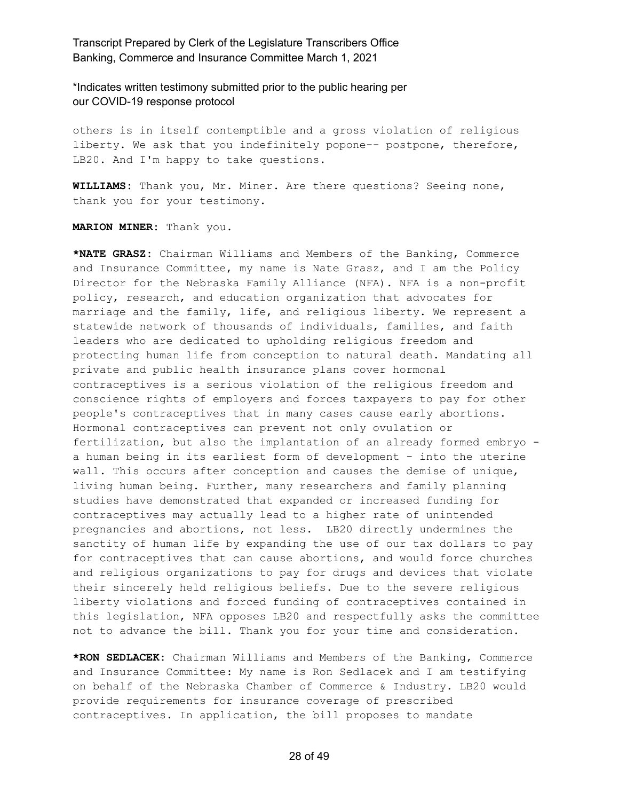\*Indicates written testimony submitted prior to the public hearing per our COVID-19 response protocol

others is in itself contemptible and a gross violation of religious liberty. We ask that you indefinitely popone-- postpone, therefore, LB20. And I'm happy to take questions.

**WILLIAMS:** Thank you, Mr. Miner. Are there questions? Seeing none, thank you for your testimony.

**MARION MINER:** Thank you.

**\*NATE GRASZ:** Chairman Williams and Members of the Banking, Commerce and Insurance Committee, my name is Nate Grasz, and I am the Policy Director for the Nebraska Family Alliance (NFA). NFA is a non-profit policy, research, and education organization that advocates for marriage and the family, life, and religious liberty. We represent a statewide network of thousands of individuals, families, and faith leaders who are dedicated to upholding religious freedom and protecting human life from conception to natural death. Mandating all private and public health insurance plans cover hormonal contraceptives is a serious violation of the religious freedom and conscience rights of employers and forces taxpayers to pay for other people's contraceptives that in many cases cause early abortions. Hormonal contraceptives can prevent not only ovulation or fertilization, but also the implantation of an already formed embryo a human being in its earliest form of development - into the uterine wall. This occurs after conception and causes the demise of unique, living human being. Further, many researchers and family planning studies have demonstrated that expanded or increased funding for contraceptives may actually lead to a higher rate of unintended pregnancies and abortions, not less. LB20 directly undermines the sanctity of human life by expanding the use of our tax dollars to pay for contraceptives that can cause abortions, and would force churches and religious organizations to pay for drugs and devices that violate their sincerely held religious beliefs. Due to the severe religious liberty violations and forced funding of contraceptives contained in this legislation, NFA opposes LB20 and respectfully asks the committee not to advance the bill. Thank you for your time and consideration.

**\*RON SEDLACEK:** Chairman Williams and Members of the Banking, Commerce and Insurance Committee: My name is Ron Sedlacek and I am testifying on behalf of the Nebraska Chamber of Commerce & Industry. LB20 would provide requirements for insurance coverage of prescribed contraceptives. In application, the bill proposes to mandate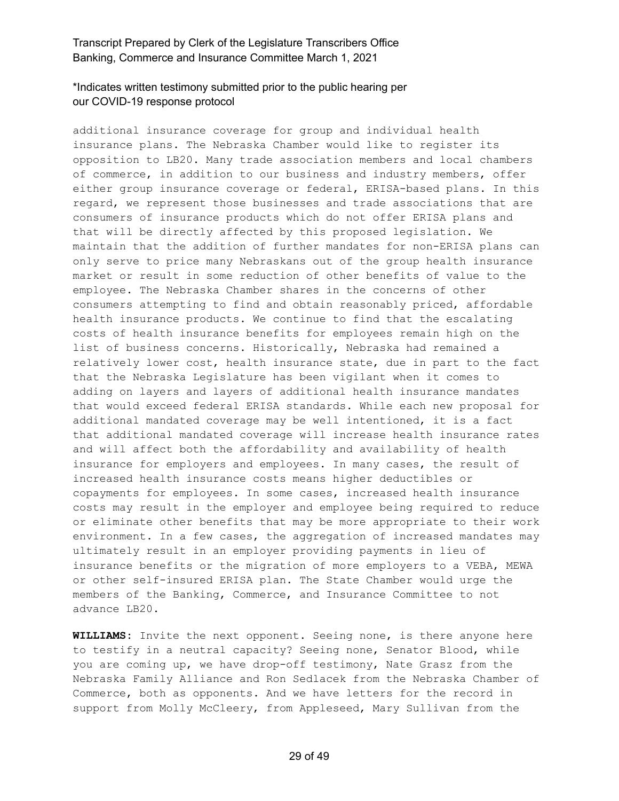# \*Indicates written testimony submitted prior to the public hearing per our COVID-19 response protocol

additional insurance coverage for group and individual health insurance plans. The Nebraska Chamber would like to register its opposition to LB20. Many trade association members and local chambers of commerce, in addition to our business and industry members, offer either group insurance coverage or federal, ERISA-based plans. In this regard, we represent those businesses and trade associations that are consumers of insurance products which do not offer ERISA plans and that will be directly affected by this proposed legislation. We maintain that the addition of further mandates for non-ERISA plans can only serve to price many Nebraskans out of the group health insurance market or result in some reduction of other benefits of value to the employee. The Nebraska Chamber shares in the concerns of other consumers attempting to find and obtain reasonably priced, affordable health insurance products. We continue to find that the escalating costs of health insurance benefits for employees remain high on the list of business concerns. Historically, Nebraska had remained a relatively lower cost, health insurance state, due in part to the fact that the Nebraska Legislature has been vigilant when it comes to adding on layers and layers of additional health insurance mandates that would exceed federal ERISA standards. While each new proposal for additional mandated coverage may be well intentioned, it is a fact that additional mandated coverage will increase health insurance rates and will affect both the affordability and availability of health insurance for employers and employees. In many cases, the result of increased health insurance costs means higher deductibles or copayments for employees. In some cases, increased health insurance costs may result in the employer and employee being required to reduce or eliminate other benefits that may be more appropriate to their work environment. In a few cases, the aggregation of increased mandates may ultimately result in an employer providing payments in lieu of insurance benefits or the migration of more employers to a VEBA, MEWA or other self-insured ERISA plan. The State Chamber would urge the members of the Banking, Commerce, and Insurance Committee to not advance LB20.

**WILLIAMS:** Invite the next opponent. Seeing none, is there anyone here to testify in a neutral capacity? Seeing none, Senator Blood, while you are coming up, we have drop-off testimony, Nate Grasz from the Nebraska Family Alliance and Ron Sedlacek from the Nebraska Chamber of Commerce, both as opponents. And we have letters for the record in support from Molly McCleery, from Appleseed, Mary Sullivan from the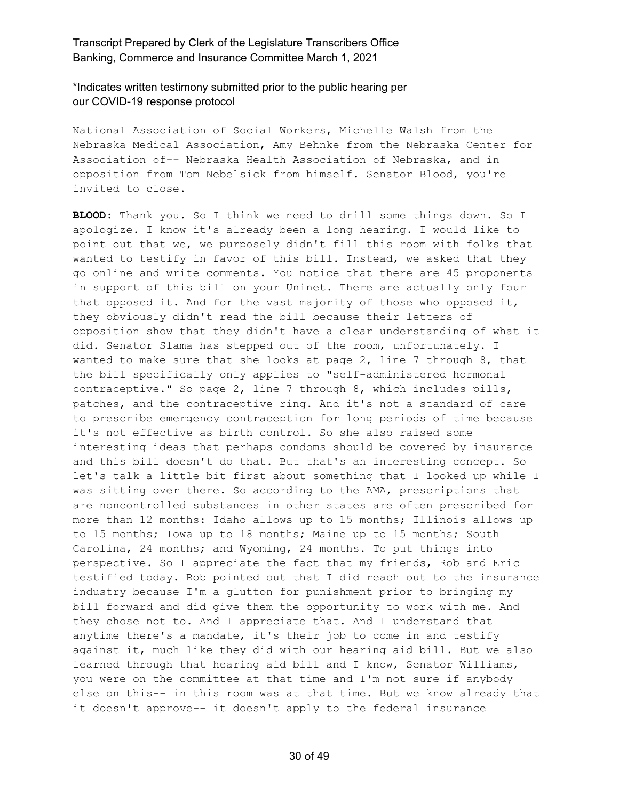\*Indicates written testimony submitted prior to the public hearing per our COVID-19 response protocol

National Association of Social Workers, Michelle Walsh from the Nebraska Medical Association, Amy Behnke from the Nebraska Center for Association of-- Nebraska Health Association of Nebraska, and in opposition from Tom Nebelsick from himself. Senator Blood, you're invited to close.

**BLOOD:** Thank you. So I think we need to drill some things down. So I apologize. I know it's already been a long hearing. I would like to point out that we, we purposely didn't fill this room with folks that wanted to testify in favor of this bill. Instead, we asked that they go online and write comments. You notice that there are 45 proponents in support of this bill on your Uninet. There are actually only four that opposed it. And for the vast majority of those who opposed it, they obviously didn't read the bill because their letters of opposition show that they didn't have a clear understanding of what it did. Senator Slama has stepped out of the room, unfortunately. I wanted to make sure that she looks at page  $2$ , line 7 through  $8$ , that the bill specifically only applies to "self-administered hormonal contraceptive." So page 2, line 7 through 8, which includes pills, patches, and the contraceptive ring. And it's not a standard of care to prescribe emergency contraception for long periods of time because it's not effective as birth control. So she also raised some interesting ideas that perhaps condoms should be covered by insurance and this bill doesn't do that. But that's an interesting concept. So let's talk a little bit first about something that I looked up while I was sitting over there. So according to the AMA, prescriptions that are noncontrolled substances in other states are often prescribed for more than 12 months: Idaho allows up to 15 months; Illinois allows up to 15 months; Iowa up to 18 months; Maine up to 15 months; South Carolina, 24 months; and Wyoming, 24 months. To put things into perspective. So I appreciate the fact that my friends, Rob and Eric testified today. Rob pointed out that I did reach out to the insurance industry because I'm a glutton for punishment prior to bringing my bill forward and did give them the opportunity to work with me. And they chose not to. And I appreciate that. And I understand that anytime there's a mandate, it's their job to come in and testify against it, much like they did with our hearing aid bill. But we also learned through that hearing aid bill and I know, Senator Williams, you were on the committee at that time and I'm not sure if anybody else on this-- in this room was at that time. But we know already that it doesn't approve-- it doesn't apply to the federal insurance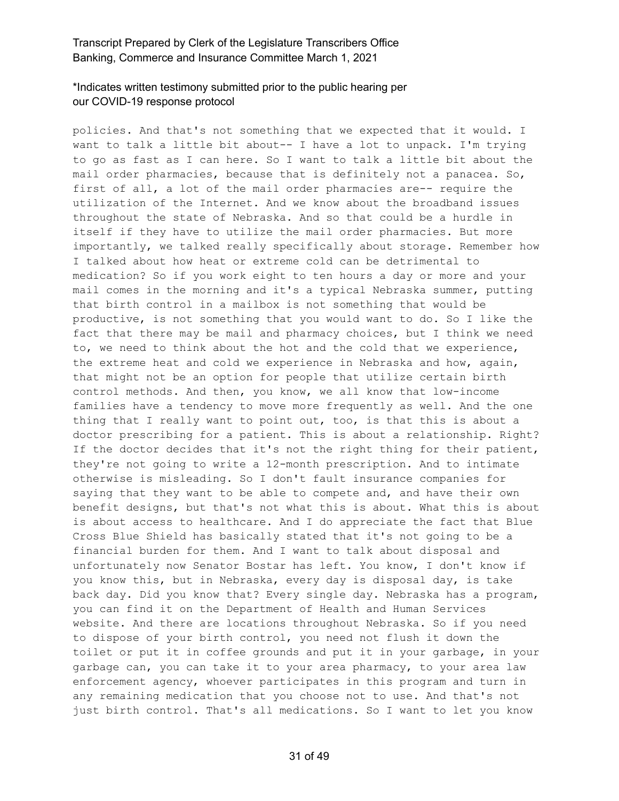# \*Indicates written testimony submitted prior to the public hearing per our COVID-19 response protocol

policies. And that's not something that we expected that it would. I want to talk a little bit about-- I have a lot to unpack. I'm trying to go as fast as I can here. So I want to talk a little bit about the mail order pharmacies, because that is definitely not a panacea. So, first of all, a lot of the mail order pharmacies are-- require the utilization of the Internet. And we know about the broadband issues throughout the state of Nebraska. And so that could be a hurdle in itself if they have to utilize the mail order pharmacies. But more importantly, we talked really specifically about storage. Remember how I talked about how heat or extreme cold can be detrimental to medication? So if you work eight to ten hours a day or more and your mail comes in the morning and it's a typical Nebraska summer, putting that birth control in a mailbox is not something that would be productive, is not something that you would want to do. So I like the fact that there may be mail and pharmacy choices, but I think we need to, we need to think about the hot and the cold that we experience, the extreme heat and cold we experience in Nebraska and how, again, that might not be an option for people that utilize certain birth control methods. And then, you know, we all know that low-income families have a tendency to move more frequently as well. And the one thing that I really want to point out, too, is that this is about a doctor prescribing for a patient. This is about a relationship. Right? If the doctor decides that it's not the right thing for their patient, they're not going to write a 12-month prescription. And to intimate otherwise is misleading. So I don't fault insurance companies for saying that they want to be able to compete and, and have their own benefit designs, but that's not what this is about. What this is about is about access to healthcare. And I do appreciate the fact that Blue Cross Blue Shield has basically stated that it's not going to be a financial burden for them. And I want to talk about disposal and unfortunately now Senator Bostar has left. You know, I don't know if you know this, but in Nebraska, every day is disposal day, is take back day. Did you know that? Every single day. Nebraska has a program, you can find it on the Department of Health and Human Services website. And there are locations throughout Nebraska. So if you need to dispose of your birth control, you need not flush it down the toilet or put it in coffee grounds and put it in your garbage, in your garbage can, you can take it to your area pharmacy, to your area law enforcement agency, whoever participates in this program and turn in any remaining medication that you choose not to use. And that's not just birth control. That's all medications. So I want to let you know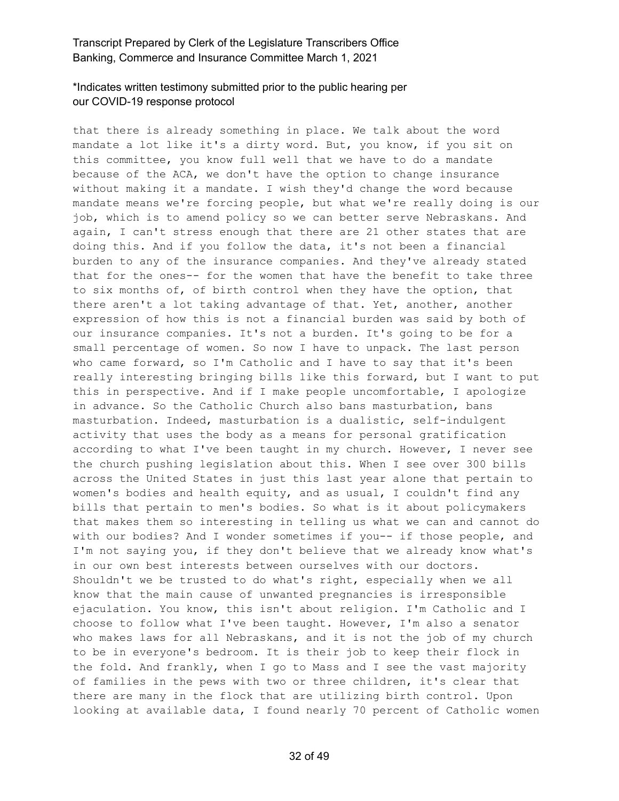# \*Indicates written testimony submitted prior to the public hearing per our COVID-19 response protocol

that there is already something in place. We talk about the word mandate a lot like it's a dirty word. But, you know, if you sit on this committee, you know full well that we have to do a mandate because of the ACA, we don't have the option to change insurance without making it a mandate. I wish they'd change the word because mandate means we're forcing people, but what we're really doing is our job, which is to amend policy so we can better serve Nebraskans. And again, I can't stress enough that there are 21 other states that are doing this. And if you follow the data, it's not been a financial burden to any of the insurance companies. And they've already stated that for the ones-- for the women that have the benefit to take three to six months of, of birth control when they have the option, that there aren't a lot taking advantage of that. Yet, another, another expression of how this is not a financial burden was said by both of our insurance companies. It's not a burden. It's going to be for a small percentage of women. So now I have to unpack. The last person who came forward, so I'm Catholic and I have to say that it's been really interesting bringing bills like this forward, but I want to put this in perspective. And if I make people uncomfortable, I apologize in advance. So the Catholic Church also bans masturbation, bans masturbation. Indeed, masturbation is a dualistic, self-indulgent activity that uses the body as a means for personal gratification according to what I've been taught in my church. However, I never see the church pushing legislation about this. When I see over 300 bills across the United States in just this last year alone that pertain to women's bodies and health equity, and as usual, I couldn't find any bills that pertain to men's bodies. So what is it about policymakers that makes them so interesting in telling us what we can and cannot do with our bodies? And I wonder sometimes if you-- if those people, and I'm not saying you, if they don't believe that we already know what's in our own best interests between ourselves with our doctors. Shouldn't we be trusted to do what's right, especially when we all know that the main cause of unwanted pregnancies is irresponsible ejaculation. You know, this isn't about religion. I'm Catholic and I choose to follow what I've been taught. However, I'm also a senator who makes laws for all Nebraskans, and it is not the job of my church to be in everyone's bedroom. It is their job to keep their flock in the fold. And frankly, when I go to Mass and I see the vast majority of families in the pews with two or three children, it's clear that there are many in the flock that are utilizing birth control. Upon looking at available data, I found nearly 70 percent of Catholic women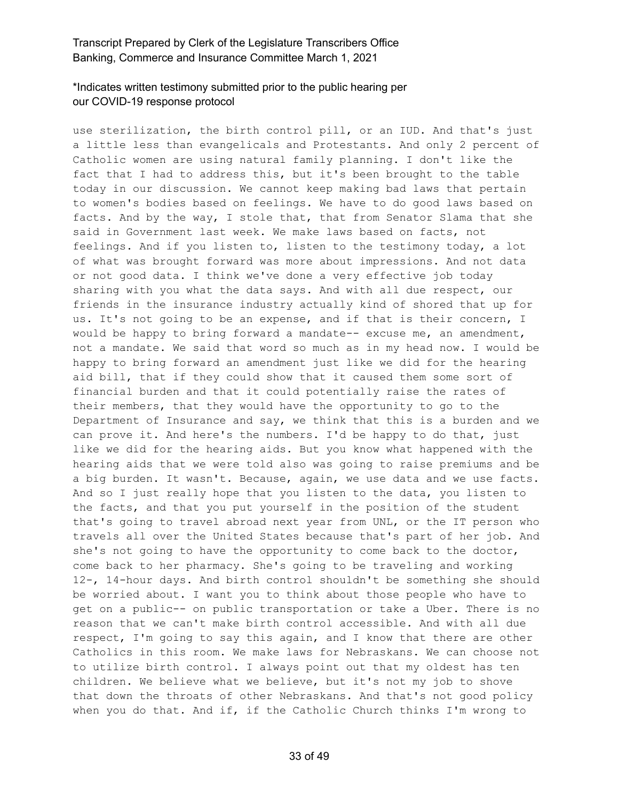# \*Indicates written testimony submitted prior to the public hearing per our COVID-19 response protocol

use sterilization, the birth control pill, or an IUD. And that's just a little less than evangelicals and Protestants. And only 2 percent of Catholic women are using natural family planning. I don't like the fact that I had to address this, but it's been brought to the table today in our discussion. We cannot keep making bad laws that pertain to women's bodies based on feelings. We have to do good laws based on facts. And by the way, I stole that, that from Senator Slama that she said in Government last week. We make laws based on facts, not feelings. And if you listen to, listen to the testimony today, a lot of what was brought forward was more about impressions. And not data or not good data. I think we've done a very effective job today sharing with you what the data says. And with all due respect, our friends in the insurance industry actually kind of shored that up for us. It's not going to be an expense, and if that is their concern, I would be happy to bring forward a mandate-- excuse me, an amendment, not a mandate. We said that word so much as in my head now. I would be happy to bring forward an amendment just like we did for the hearing aid bill, that if they could show that it caused them some sort of financial burden and that it could potentially raise the rates of their members, that they would have the opportunity to go to the Department of Insurance and say, we think that this is a burden and we can prove it. And here's the numbers. I'd be happy to do that, just like we did for the hearing aids. But you know what happened with the hearing aids that we were told also was going to raise premiums and be a big burden. It wasn't. Because, again, we use data and we use facts. And so I just really hope that you listen to the data, you listen to the facts, and that you put yourself in the position of the student that's going to travel abroad next year from UNL, or the IT person who travels all over the United States because that's part of her job. And she's not going to have the opportunity to come back to the doctor, come back to her pharmacy. She's going to be traveling and working 12-, 14-hour days. And birth control shouldn't be something she should be worried about. I want you to think about those people who have to get on a public-- on public transportation or take a Uber. There is no reason that we can't make birth control accessible. And with all due respect, I'm going to say this again, and I know that there are other Catholics in this room. We make laws for Nebraskans. We can choose not to utilize birth control. I always point out that my oldest has ten children. We believe what we believe, but it's not my job to shove that down the throats of other Nebraskans. And that's not good policy when you do that. And if, if the Catholic Church thinks I'm wrong to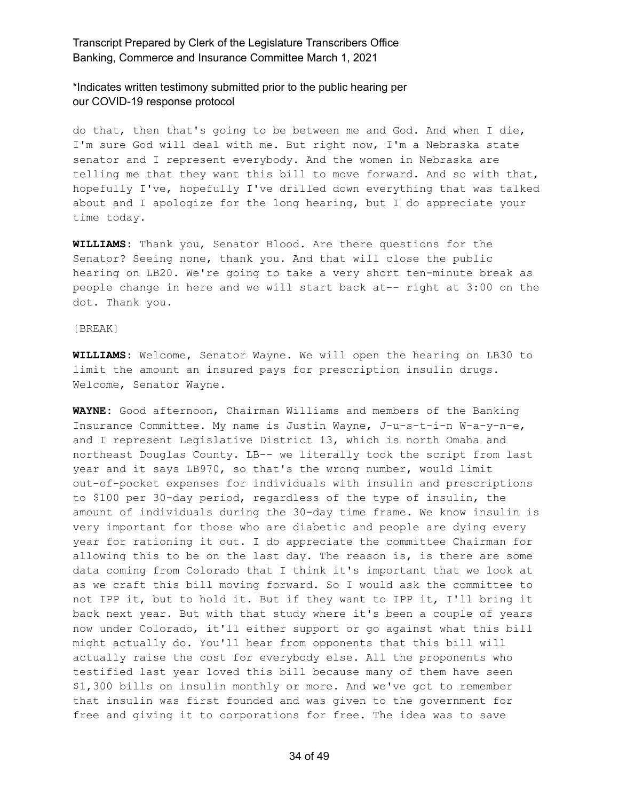\*Indicates written testimony submitted prior to the public hearing per our COVID-19 response protocol

do that, then that's going to be between me and God. And when I die, I'm sure God will deal with me. But right now, I'm a Nebraska state senator and I represent everybody. And the women in Nebraska are telling me that they want this bill to move forward. And so with that, hopefully I've, hopefully I've drilled down everything that was talked about and I apologize for the long hearing, but I do appreciate your time today.

**WILLIAMS:** Thank you, Senator Blood. Are there questions for the Senator? Seeing none, thank you. And that will close the public hearing on LB20. We're going to take a very short ten-minute break as people change in here and we will start back at-- right at 3:00 on the dot. Thank you.

#### [BREAK]

**WILLIAMS:** Welcome, Senator Wayne. We will open the hearing on LB30 to limit the amount an insured pays for prescription insulin drugs. Welcome, Senator Wayne.

**WAYNE:** Good afternoon, Chairman Williams and members of the Banking Insurance Committee. My name is Justin Wayne, J-u-s-t-i-n W-a-y-n-e, and I represent Legislative District 13, which is north Omaha and northeast Douglas County. LB-- we literally took the script from last year and it says LB970, so that's the wrong number, would limit out-of-pocket expenses for individuals with insulin and prescriptions to \$100 per 30-day period, regardless of the type of insulin, the amount of individuals during the 30-day time frame. We know insulin is very important for those who are diabetic and people are dying every year for rationing it out. I do appreciate the committee Chairman for allowing this to be on the last day. The reason is, is there are some data coming from Colorado that I think it's important that we look at as we craft this bill moving forward. So I would ask the committee to not IPP it, but to hold it. But if they want to IPP it, I'll bring it back next year. But with that study where it's been a couple of years now under Colorado, it'll either support or go against what this bill might actually do. You'll hear from opponents that this bill will actually raise the cost for everybody else. All the proponents who testified last year loved this bill because many of them have seen \$1,300 bills on insulin monthly or more. And we've got to remember that insulin was first founded and was given to the government for free and giving it to corporations for free. The idea was to save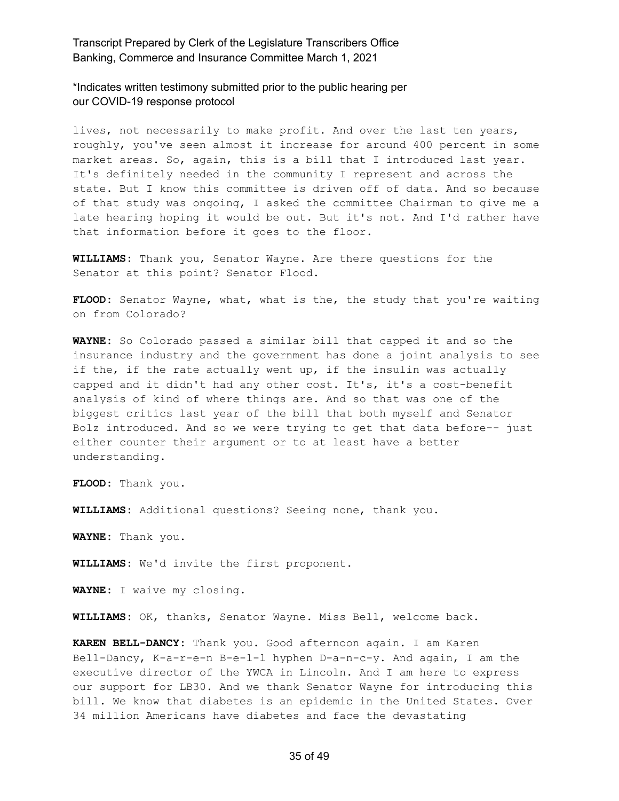\*Indicates written testimony submitted prior to the public hearing per our COVID-19 response protocol

lives, not necessarily to make profit. And over the last ten years, roughly, you've seen almost it increase for around 400 percent in some market areas. So, again, this is a bill that I introduced last year. It's definitely needed in the community I represent and across the state. But I know this committee is driven off of data. And so because of that study was ongoing, I asked the committee Chairman to give me a late hearing hoping it would be out. But it's not. And I'd rather have that information before it goes to the floor.

**WILLIAMS:** Thank you, Senator Wayne. Are there questions for the Senator at this point? Senator Flood.

**FLOOD:** Senator Wayne, what, what is the, the study that you're waiting on from Colorado?

**WAYNE:** So Colorado passed a similar bill that capped it and so the insurance industry and the government has done a joint analysis to see if the, if the rate actually went up, if the insulin was actually capped and it didn't had any other cost. It's, it's a cost-benefit analysis of kind of where things are. And so that was one of the biggest critics last year of the bill that both myself and Senator Bolz introduced. And so we were trying to get that data before-- just either counter their argument or to at least have a better understanding.

**FLOOD:** Thank you.

**WILLIAMS:** Additional questions? Seeing none, thank you.

**WAYNE:** Thank you.

**WILLIAMS:** We'd invite the first proponent.

**WAYNE:** I waive my closing.

**WILLIAMS:** OK, thanks, Senator Wayne. Miss Bell, welcome back.

**KAREN BELL-DANCY:** Thank you. Good afternoon again. I am Karen Bell-Dancy, K-a-r-e-n B-e-l-l hyphen D-a-n-c-y. And again, I am the executive director of the YWCA in Lincoln. And I am here to express our support for LB30. And we thank Senator Wayne for introducing this bill. We know that diabetes is an epidemic in the United States. Over 34 million Americans have diabetes and face the devastating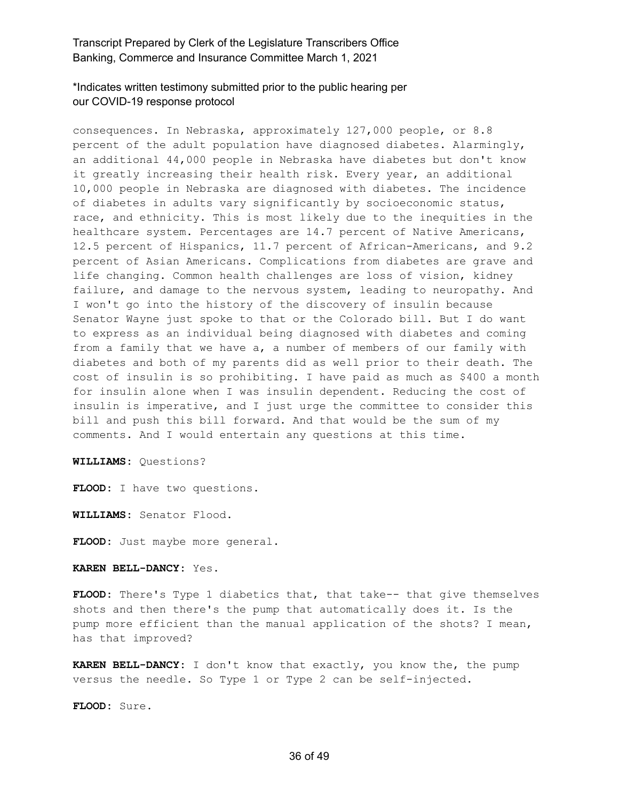\*Indicates written testimony submitted prior to the public hearing per our COVID-19 response protocol

consequences. In Nebraska, approximately 127,000 people, or 8.8 percent of the adult population have diagnosed diabetes. Alarmingly, an additional 44,000 people in Nebraska have diabetes but don't know it greatly increasing their health risk. Every year, an additional 10,000 people in Nebraska are diagnosed with diabetes. The incidence of diabetes in adults vary significantly by socioeconomic status, race, and ethnicity. This is most likely due to the inequities in the healthcare system. Percentages are 14.7 percent of Native Americans, 12.5 percent of Hispanics, 11.7 percent of African-Americans, and 9.2 percent of Asian Americans. Complications from diabetes are grave and life changing. Common health challenges are loss of vision, kidney failure, and damage to the nervous system, leading to neuropathy. And I won't go into the history of the discovery of insulin because Senator Wayne just spoke to that or the Colorado bill. But I do want to express as an individual being diagnosed with diabetes and coming from a family that we have a, a number of members of our family with diabetes and both of my parents did as well prior to their death. The cost of insulin is so prohibiting. I have paid as much as \$400 a month for insulin alone when I was insulin dependent. Reducing the cost of insulin is imperative, and I just urge the committee to consider this bill and push this bill forward. And that would be the sum of my comments. And I would entertain any questions at this time.

**WILLIAMS:** Questions?

**FLOOD:** I have two questions.

**WILLIAMS:** Senator Flood.

**FLOOD:** Just maybe more general.

#### **KAREN BELL-DANCY:** Yes.

**FLOOD:** There's Type 1 diabetics that, that take-- that give themselves shots and then there's the pump that automatically does it. Is the pump more efficient than the manual application of the shots? I mean, has that improved?

**KAREN BELL-DANCY:** I don't know that exactly, you know the, the pump versus the needle. So Type 1 or Type 2 can be self-injected.

**FLOOD:** Sure.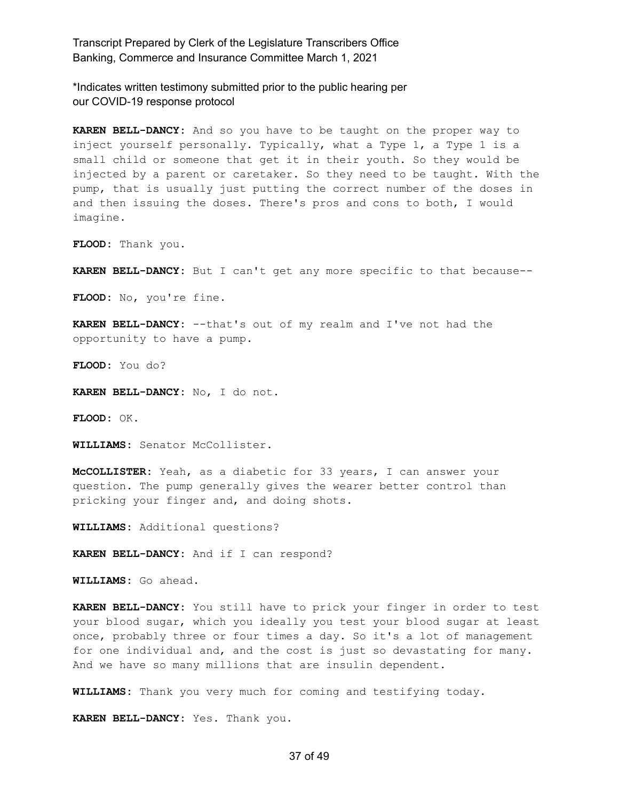\*Indicates written testimony submitted prior to the public hearing per our COVID-19 response protocol

**KAREN BELL-DANCY:** And so you have to be taught on the proper way to inject yourself personally. Typically, what a Type 1, a Type 1 is a small child or someone that get it in their youth. So they would be injected by a parent or caretaker. So they need to be taught. With the pump, that is usually just putting the correct number of the doses in and then issuing the doses. There's pros and cons to both, I would imagine.

**FLOOD:** Thank you.

**KAREN BELL-DANCY:** But I can't get any more specific to that because--

**FLOOD:** No, you're fine.

**KAREN BELL-DANCY:** --that's out of my realm and I've not had the opportunity to have a pump.

**FLOOD:** You do?

**KAREN BELL-DANCY:** No, I do not.

**FLOOD:** OK.

**WILLIAMS:** Senator McCollister.

**McCOLLISTER:** Yeah, as a diabetic for 33 years, I can answer your question. The pump generally gives the wearer better control than pricking your finger and, and doing shots.

**WILLIAMS:** Additional questions?

**KAREN BELL-DANCY:** And if I can respond?

**WILLIAMS:** Go ahead.

**KAREN BELL-DANCY:** You still have to prick your finger in order to test your blood sugar, which you ideally you test your blood sugar at least once, probably three or four times a day. So it's a lot of management for one individual and, and the cost is just so devastating for many. And we have so many millions that are insulin dependent.

**WILLIAMS:** Thank you very much for coming and testifying today.

**KAREN BELL-DANCY:** Yes. Thank you.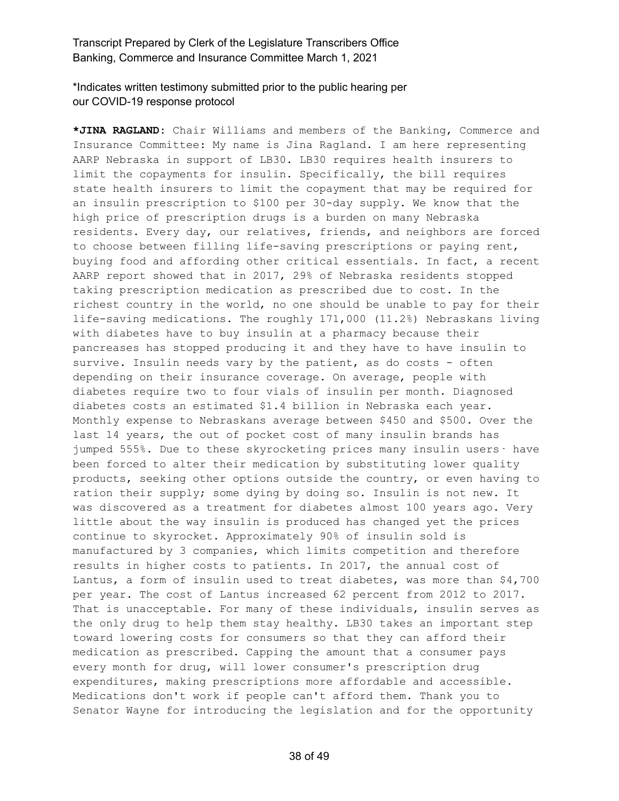\*Indicates written testimony submitted prior to the public hearing per our COVID-19 response protocol

**\*JINA RAGLAND:** Chair Williams and members of the Banking, Commerce and Insurance Committee: My name is Jina Ragland. I am here representing AARP Nebraska in support of LB30. LB30 requires health insurers to limit the copayments for insulin. Specifically, the bill requires state health insurers to limit the copayment that may be required for an insulin prescription to \$100 per 30-day supply. We know that the high price of prescription drugs is a burden on many Nebraska residents. Every day, our relatives, friends, and neighbors are forced to choose between filling life-saving prescriptions or paying rent, buying food and affording other critical essentials. In fact, a recent AARP report showed that in 2017, 29% of Nebraska residents stopped taking prescription medication as prescribed due to cost. In the richest country in the world, no one should be unable to pay for their life-saving medications. The roughly 171,000 (11.2%) Nebraskans living with diabetes have to buy insulin at a pharmacy because their pancreases has stopped producing it and they have to have insulin to survive. Insulin needs vary by the patient, as do costs - often depending on their insurance coverage. On average, people with diabetes require two to four vials of insulin per month. Diagnosed diabetes costs an estimated \$1.4 billion in Nebraska each year. Monthly expense to Nebraskans average between \$450 and \$500. Over the last 14 years, the out of pocket cost of many insulin brands has jumped 555%. Due to these skyrocketing prices many insulin users· have been forced to alter their medication by substituting lower quality products, seeking other options outside the country, or even having to ration their supply; some dying by doing so. Insulin is not new. It was discovered as a treatment for diabetes almost 100 years ago. Very little about the way insulin is produced has changed yet the prices continue to skyrocket. Approximately 90% of insulin sold is manufactured by 3 companies, which limits competition and therefore results in higher costs to patients. In 2017, the annual cost of Lantus, a form of insulin used to treat diabetes, was more than \$4,700 per year. The cost of Lantus increased 62 percent from 2012 to 2017. That is unacceptable. For many of these individuals, insulin serves as the only drug to help them stay healthy. LB30 takes an important step toward lowering costs for consumers so that they can afford their medication as prescribed. Capping the amount that a consumer pays every month for drug, will lower consumer's prescription drug expenditures, making prescriptions more affordable and accessible. Medications don't work if people can't afford them. Thank you to Senator Wayne for introducing the legislation and for the opportunity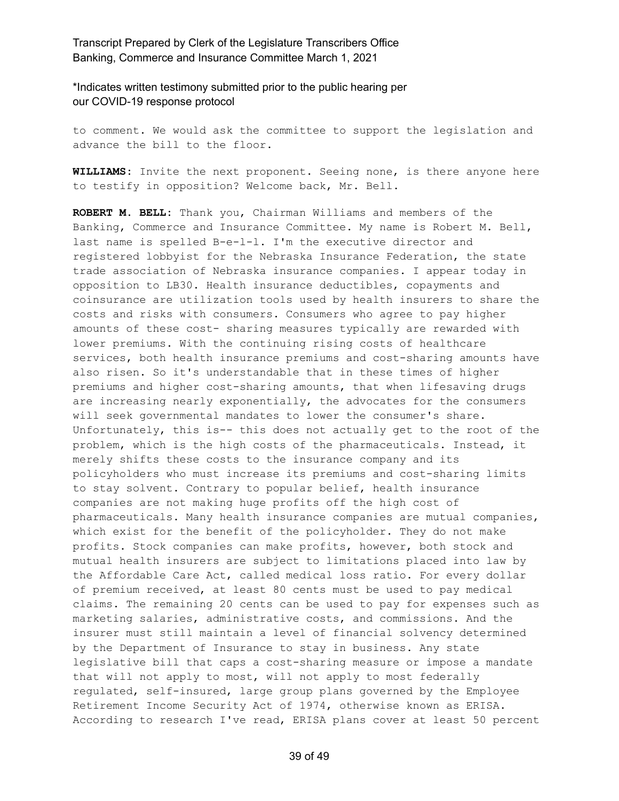\*Indicates written testimony submitted prior to the public hearing per our COVID-19 response protocol

to comment. We would ask the committee to support the legislation and advance the bill to the floor.

**WILLIAMS:** Invite the next proponent. Seeing none, is there anyone here to testify in opposition? Welcome back, Mr. Bell.

**ROBERT M. BELL:** Thank you, Chairman Williams and members of the Banking, Commerce and Insurance Committee. My name is Robert M. Bell, last name is spelled B-e-l-l. I'm the executive director and registered lobbyist for the Nebraska Insurance Federation, the state trade association of Nebraska insurance companies. I appear today in opposition to LB30. Health insurance deductibles, copayments and coinsurance are utilization tools used by health insurers to share the costs and risks with consumers. Consumers who agree to pay higher amounts of these cost- sharing measures typically are rewarded with lower premiums. With the continuing rising costs of healthcare services, both health insurance premiums and cost-sharing amounts have also risen. So it's understandable that in these times of higher premiums and higher cost-sharing amounts, that when lifesaving drugs are increasing nearly exponentially, the advocates for the consumers will seek governmental mandates to lower the consumer's share. Unfortunately, this is-- this does not actually get to the root of the problem, which is the high costs of the pharmaceuticals. Instead, it merely shifts these costs to the insurance company and its policyholders who must increase its premiums and cost-sharing limits to stay solvent. Contrary to popular belief, health insurance companies are not making huge profits off the high cost of pharmaceuticals. Many health insurance companies are mutual companies, which exist for the benefit of the policyholder. They do not make profits. Stock companies can make profits, however, both stock and mutual health insurers are subject to limitations placed into law by the Affordable Care Act, called medical loss ratio. For every dollar of premium received, at least 80 cents must be used to pay medical claims. The remaining 20 cents can be used to pay for expenses such as marketing salaries, administrative costs, and commissions. And the insurer must still maintain a level of financial solvency determined by the Department of Insurance to stay in business. Any state legislative bill that caps a cost-sharing measure or impose a mandate that will not apply to most, will not apply to most federally regulated, self-insured, large group plans governed by the Employee Retirement Income Security Act of 1974, otherwise known as ERISA. According to research I've read, ERISA plans cover at least 50 percent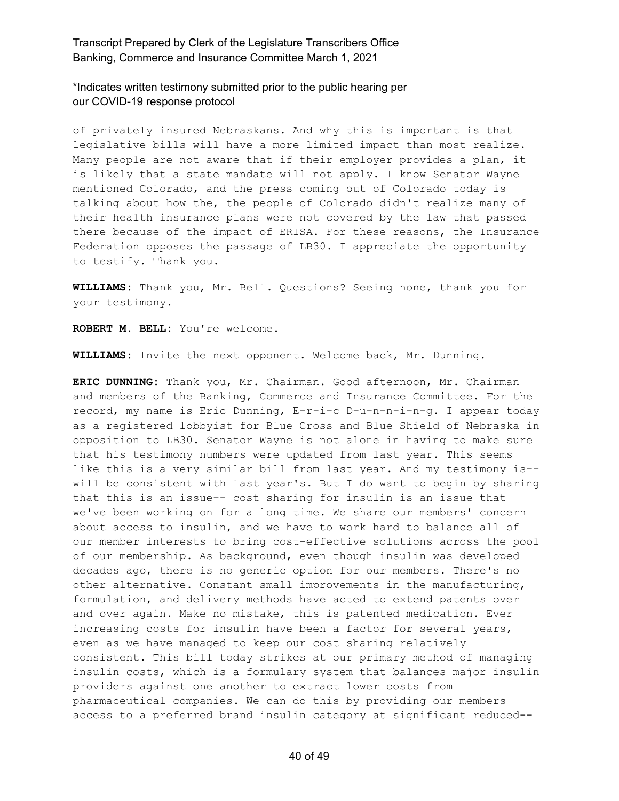\*Indicates written testimony submitted prior to the public hearing per our COVID-19 response protocol

of privately insured Nebraskans. And why this is important is that legislative bills will have a more limited impact than most realize. Many people are not aware that if their employer provides a plan, it is likely that a state mandate will not apply. I know Senator Wayne mentioned Colorado, and the press coming out of Colorado today is talking about how the, the people of Colorado didn't realize many of their health insurance plans were not covered by the law that passed there because of the impact of ERISA. For these reasons, the Insurance Federation opposes the passage of LB30. I appreciate the opportunity to testify. Thank you.

**WILLIAMS:** Thank you, Mr. Bell. Questions? Seeing none, thank you for your testimony.

**ROBERT M. BELL:** You're welcome.

**WILLIAMS:** Invite the next opponent. Welcome back, Mr. Dunning.

**ERIC DUNNING:** Thank you, Mr. Chairman. Good afternoon, Mr. Chairman and members of the Banking, Commerce and Insurance Committee. For the record, my name is Eric Dunning, E-r-i-c D-u-n-n-i-n-g. I appear today as a registered lobbyist for Blue Cross and Blue Shield of Nebraska in opposition to LB30. Senator Wayne is not alone in having to make sure that his testimony numbers were updated from last year. This seems like this is a very similar bill from last year. And my testimony is- will be consistent with last year's. But I do want to begin by sharing that this is an issue-- cost sharing for insulin is an issue that we've been working on for a long time. We share our members' concern about access to insulin, and we have to work hard to balance all of our member interests to bring cost-effective solutions across the pool of our membership. As background, even though insulin was developed decades ago, there is no generic option for our members. There's no other alternative. Constant small improvements in the manufacturing, formulation, and delivery methods have acted to extend patents over and over again. Make no mistake, this is patented medication. Ever increasing costs for insulin have been a factor for several years, even as we have managed to keep our cost sharing relatively consistent. This bill today strikes at our primary method of managing insulin costs, which is a formulary system that balances major insulin providers against one another to extract lower costs from pharmaceutical companies. We can do this by providing our members access to a preferred brand insulin category at significant reduced--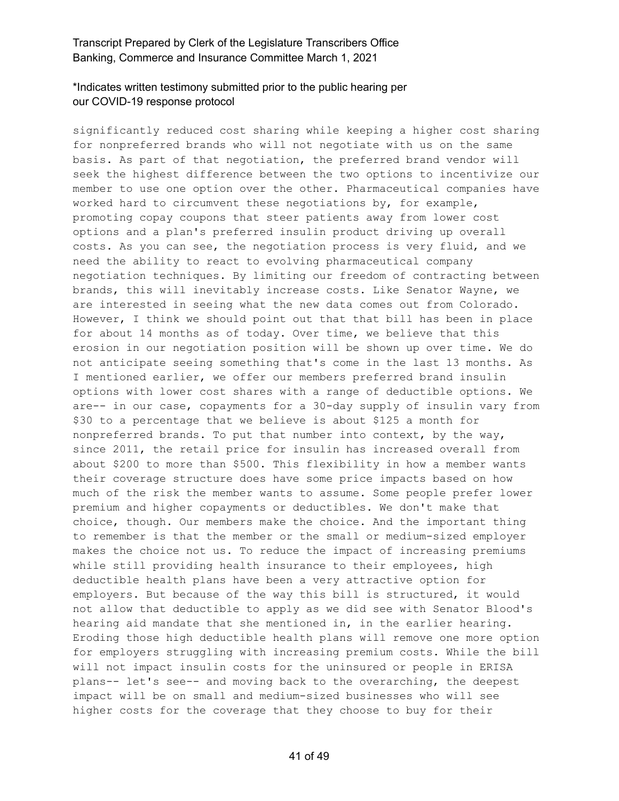#### \*Indicates written testimony submitted prior to the public hearing per our COVID-19 response protocol

significantly reduced cost sharing while keeping a higher cost sharing for nonpreferred brands who will not negotiate with us on the same basis. As part of that negotiation, the preferred brand vendor will seek the highest difference between the two options to incentivize our member to use one option over the other. Pharmaceutical companies have worked hard to circumvent these negotiations by, for example, promoting copay coupons that steer patients away from lower cost options and a plan's preferred insulin product driving up overall costs. As you can see, the negotiation process is very fluid, and we need the ability to react to evolving pharmaceutical company negotiation techniques. By limiting our freedom of contracting between brands, this will inevitably increase costs. Like Senator Wayne, we are interested in seeing what the new data comes out from Colorado. However, I think we should point out that that bill has been in place for about 14 months as of today. Over time, we believe that this erosion in our negotiation position will be shown up over time. We do not anticipate seeing something that's come in the last 13 months. As I mentioned earlier, we offer our members preferred brand insulin options with lower cost shares with a range of deductible options. We are-- in our case, copayments for a 30-day supply of insulin vary from \$30 to a percentage that we believe is about \$125 a month for nonpreferred brands. To put that number into context, by the way, since 2011, the retail price for insulin has increased overall from about \$200 to more than \$500. This flexibility in how a member wants their coverage structure does have some price impacts based on how much of the risk the member wants to assume. Some people prefer lower premium and higher copayments or deductibles. We don't make that choice, though. Our members make the choice. And the important thing to remember is that the member or the small or medium-sized employer makes the choice not us. To reduce the impact of increasing premiums while still providing health insurance to their employees, high deductible health plans have been a very attractive option for employers. But because of the way this bill is structured, it would not allow that deductible to apply as we did see with Senator Blood's hearing aid mandate that she mentioned in, in the earlier hearing. Eroding those high deductible health plans will remove one more option for employers struggling with increasing premium costs. While the bill will not impact insulin costs for the uninsured or people in ERISA plans-- let's see-- and moving back to the overarching, the deepest impact will be on small and medium-sized businesses who will see higher costs for the coverage that they choose to buy for their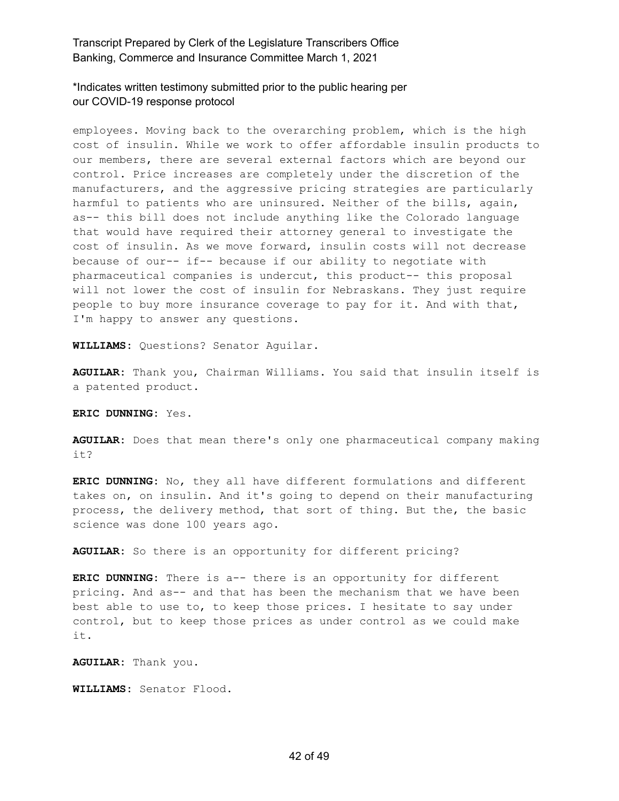\*Indicates written testimony submitted prior to the public hearing per our COVID-19 response protocol

employees. Moving back to the overarching problem, which is the high cost of insulin. While we work to offer affordable insulin products to our members, there are several external factors which are beyond our control. Price increases are completely under the discretion of the manufacturers, and the aggressive pricing strategies are particularly harmful to patients who are uninsured. Neither of the bills, again, as-- this bill does not include anything like the Colorado language that would have required their attorney general to investigate the cost of insulin. As we move forward, insulin costs will not decrease because of our-- if-- because if our ability to negotiate with pharmaceutical companies is undercut, this product-- this proposal will not lower the cost of insulin for Nebraskans. They just require people to buy more insurance coverage to pay for it. And with that, I'm happy to answer any questions.

**WILLIAMS:** Questions? Senator Aguilar.

**AGUILAR:** Thank you, Chairman Williams. You said that insulin itself is a patented product.

**ERIC DUNNING:** Yes.

**AGUILAR:** Does that mean there's only one pharmaceutical company making it?

**ERIC DUNNING:** No, they all have different formulations and different takes on, on insulin. And it's going to depend on their manufacturing process, the delivery method, that sort of thing. But the, the basic science was done 100 years ago.

**AGUILAR:** So there is an opportunity for different pricing?

**ERIC DUNNING:** There is a-- there is an opportunity for different pricing. And as-- and that has been the mechanism that we have been best able to use to, to keep those prices. I hesitate to say under control, but to keep those prices as under control as we could make it.

**AGUILAR:** Thank you.

**WILLIAMS:** Senator Flood.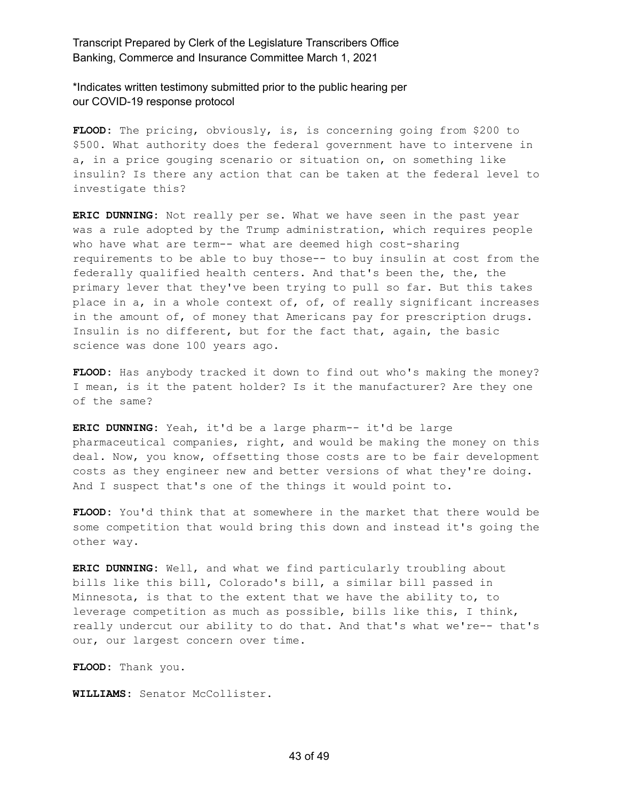\*Indicates written testimony submitted prior to the public hearing per our COVID-19 response protocol

**FLOOD:** The pricing, obviously, is, is concerning going from \$200 to \$500. What authority does the federal government have to intervene in a, in a price gouging scenario or situation on, on something like insulin? Is there any action that can be taken at the federal level to investigate this?

**ERIC DUNNING:** Not really per se. What we have seen in the past year was a rule adopted by the Trump administration, which requires people who have what are term-- what are deemed high cost-sharing requirements to be able to buy those-- to buy insulin at cost from the federally qualified health centers. And that's been the, the, the primary lever that they've been trying to pull so far. But this takes place in a, in a whole context of, of, of really significant increases in the amount of, of money that Americans pay for prescription drugs. Insulin is no different, but for the fact that, again, the basic science was done 100 years ago.

**FLOOD:** Has anybody tracked it down to find out who's making the money? I mean, is it the patent holder? Is it the manufacturer? Are they one of the same?

**ERIC DUNNING:** Yeah, it'd be a large pharm-- it'd be large pharmaceutical companies, right, and would be making the money on this deal. Now, you know, offsetting those costs are to be fair development costs as they engineer new and better versions of what they're doing. And I suspect that's one of the things it would point to.

**FLOOD:** You'd think that at somewhere in the market that there would be some competition that would bring this down and instead it's going the other way.

**ERIC DUNNING:** Well, and what we find particularly troubling about bills like this bill, Colorado's bill, a similar bill passed in Minnesota, is that to the extent that we have the ability to, to leverage competition as much as possible, bills like this, I think, really undercut our ability to do that. And that's what we're-- that's our, our largest concern over time.

**FLOOD:** Thank you.

**WILLIAMS:** Senator McCollister.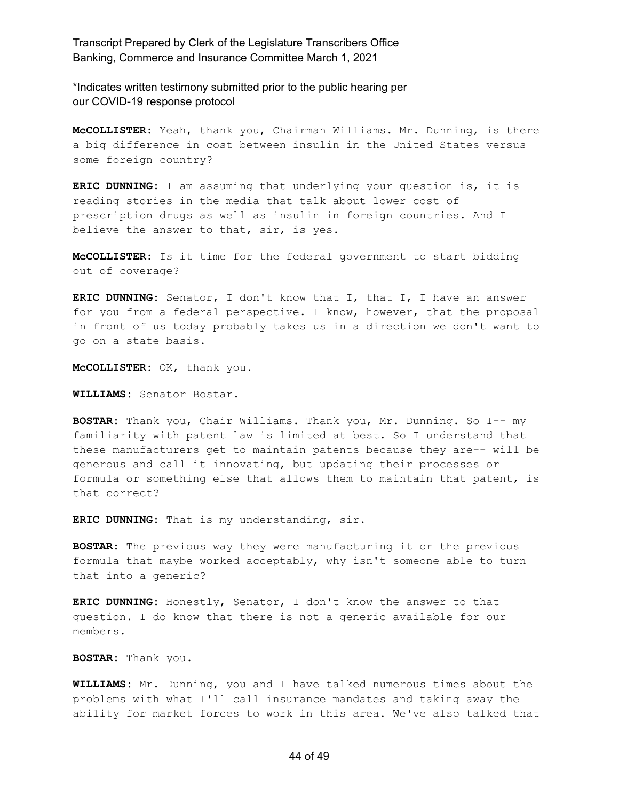\*Indicates written testimony submitted prior to the public hearing per our COVID-19 response protocol

**McCOLLISTER:** Yeah, thank you, Chairman Williams. Mr. Dunning, is there a big difference in cost between insulin in the United States versus some foreign country?

**ERIC DUNNING:** I am assuming that underlying your question is, it is reading stories in the media that talk about lower cost of prescription drugs as well as insulin in foreign countries. And I believe the answer to that, sir, is yes.

**McCOLLISTER:** Is it time for the federal government to start bidding out of coverage?

**ERIC DUNNING:** Senator, I don't know that I, that I, I have an answer for you from a federal perspective. I know, however, that the proposal in front of us today probably takes us in a direction we don't want to go on a state basis.

**McCOLLISTER:** OK, thank you.

**WILLIAMS:** Senator Bostar.

**BOSTAR:** Thank you, Chair Williams. Thank you, Mr. Dunning. So I-- my familiarity with patent law is limited at best. So I understand that these manufacturers get to maintain patents because they are-- will be generous and call it innovating, but updating their processes or formula or something else that allows them to maintain that patent, is that correct?

**ERIC DUNNING:** That is my understanding, sir.

**BOSTAR:** The previous way they were manufacturing it or the previous formula that maybe worked acceptably, why isn't someone able to turn that into a generic?

**ERIC DUNNING:** Honestly, Senator, I don't know the answer to that question. I do know that there is not a generic available for our members.

**BOSTAR:** Thank you.

**WILLIAMS:** Mr. Dunning, you and I have talked numerous times about the problems with what I'll call insurance mandates and taking away the ability for market forces to work in this area. We've also talked that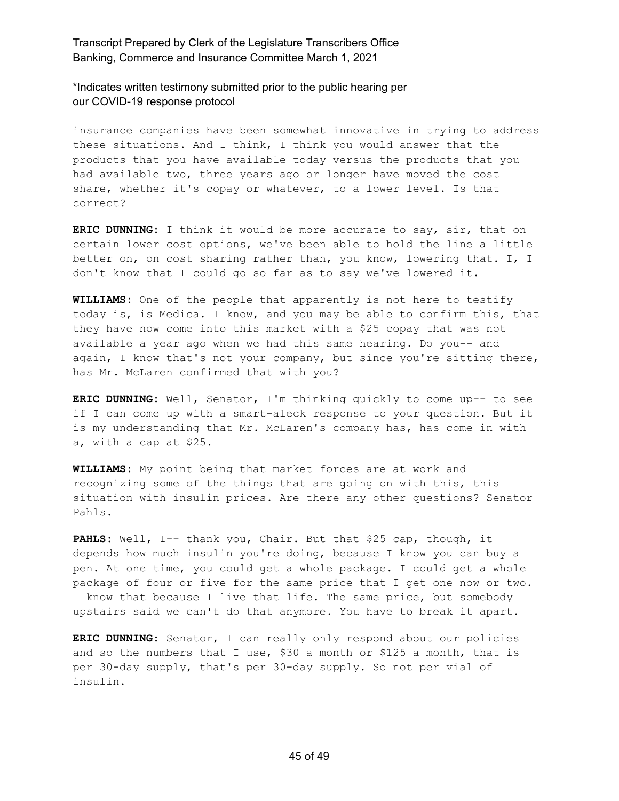\*Indicates written testimony submitted prior to the public hearing per our COVID-19 response protocol

insurance companies have been somewhat innovative in trying to address these situations. And I think, I think you would answer that the products that you have available today versus the products that you had available two, three years ago or longer have moved the cost share, whether it's copay or whatever, to a lower level. Is that correct?

**ERIC DUNNING:** I think it would be more accurate to say, sir, that on certain lower cost options, we've been able to hold the line a little better on, on cost sharing rather than, you know, lowering that. I, I don't know that I could go so far as to say we've lowered it.

**WILLIAMS:** One of the people that apparently is not here to testify today is, is Medica. I know, and you may be able to confirm this, that they have now come into this market with a \$25 copay that was not available a year ago when we had this same hearing. Do you-- and again, I know that's not your company, but since you're sitting there, has Mr. McLaren confirmed that with you?

**ERIC DUNNING:** Well, Senator, I'm thinking quickly to come up-- to see if I can come up with a smart-aleck response to your question. But it is my understanding that Mr. McLaren's company has, has come in with a, with a cap at \$25.

**WILLIAMS:** My point being that market forces are at work and recognizing some of the things that are going on with this, this situation with insulin prices. Are there any other questions? Senator Pahls.

**PAHLS:** Well, I-- thank you, Chair. But that \$25 cap, though, it depends how much insulin you're doing, because I know you can buy a pen. At one time, you could get a whole package. I could get a whole package of four or five for the same price that I get one now or two. I know that because I live that life. The same price, but somebody upstairs said we can't do that anymore. You have to break it apart.

**ERIC DUNNING:** Senator, I can really only respond about our policies and so the numbers that I use, \$30 a month or \$125 a month, that is per 30-day supply, that's per 30-day supply. So not per vial of insulin.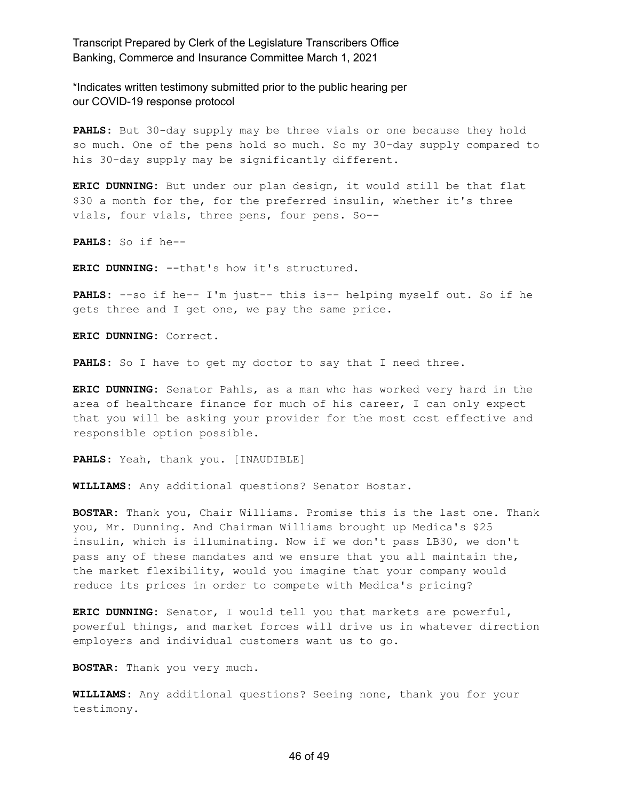\*Indicates written testimony submitted prior to the public hearing per our COVID-19 response protocol

**PAHLS:** But 30-day supply may be three vials or one because they hold so much. One of the pens hold so much. So my 30-day supply compared to his 30-day supply may be significantly different.

**ERIC DUNNING:** But under our plan design, it would still be that flat \$30 a month for the, for the preferred insulin, whether it's three vials, four vials, three pens, four pens. So--

**PAHLS:** So if he--

**ERIC DUNNING:** --that's how it's structured.

**PAHLS:** --so if he-- I'm just-- this is-- helping myself out. So if he gets three and I get one, we pay the same price.

**ERIC DUNNING:** Correct.

**PAHLS:** So I have to get my doctor to say that I need three.

**ERIC DUNNING:** Senator Pahls, as a man who has worked very hard in the area of healthcare finance for much of his career, I can only expect that you will be asking your provider for the most cost effective and responsible option possible.

**PAHLS:** Yeah, thank you. [INAUDIBLE]

**WILLIAMS:** Any additional questions? Senator Bostar.

**BOSTAR:** Thank you, Chair Williams. Promise this is the last one. Thank you, Mr. Dunning. And Chairman Williams brought up Medica's \$25 insulin, which is illuminating. Now if we don't pass LB30, we don't pass any of these mandates and we ensure that you all maintain the, the market flexibility, would you imagine that your company would reduce its prices in order to compete with Medica's pricing?

**ERIC DUNNING:** Senator, I would tell you that markets are powerful, powerful things, and market forces will drive us in whatever direction employers and individual customers want us to go.

**BOSTAR:** Thank you very much.

**WILLIAMS:** Any additional questions? Seeing none, thank you for your testimony.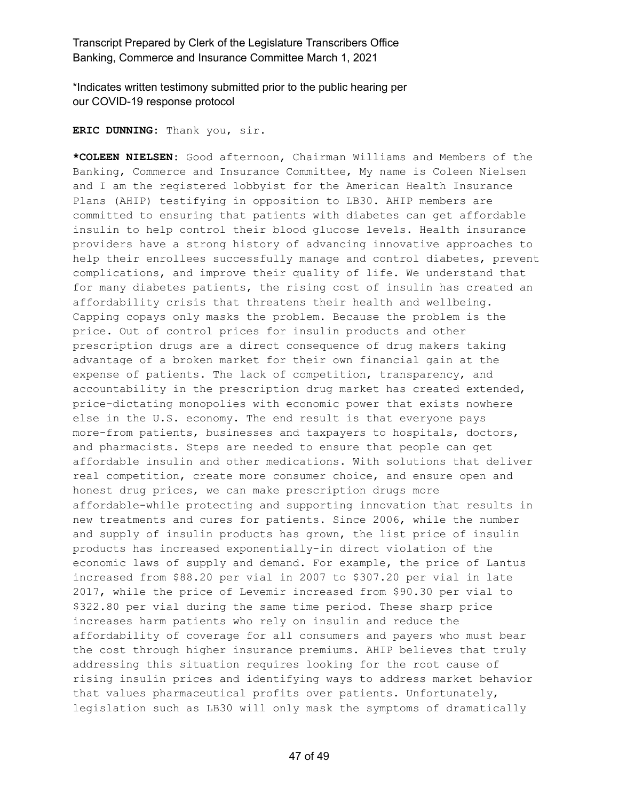\*Indicates written testimony submitted prior to the public hearing per our COVID-19 response protocol

**ERIC DUNNING:** Thank you, sir.

**\*COLEEN NIELSEN:** Good afternoon, Chairman Williams and Members of the Banking, Commerce and Insurance Committee, My name is Coleen Nielsen and I am the registered lobbyist for the American Health Insurance Plans (AHIP) testifying in opposition to LB30. AHIP members are committed to ensuring that patients with diabetes can get affordable insulin to help control their blood glucose levels. Health insurance providers have a strong history of advancing innovative approaches to help their enrollees successfully manage and control diabetes, prevent complications, and improve their quality of life. We understand that for many diabetes patients, the rising cost of insulin has created an affordability crisis that threatens their health and wellbeing. Capping copays only masks the problem. Because the problem is the price. Out of control prices for insulin products and other prescription drugs are a direct consequence of drug makers taking advantage of a broken market for their own financial gain at the expense of patients. The lack of competition, transparency, and accountability in the prescription drug market has created extended, price-dictating monopolies with economic power that exists nowhere else in the U.S. economy. The end result is that everyone pays more-from patients, businesses and taxpayers to hospitals, doctors, and pharmacists. Steps are needed to ensure that people can get affordable insulin and other medications. With solutions that deliver real competition, create more consumer choice, and ensure open and honest drug prices, we can make prescription drugs more affordable-while protecting and supporting innovation that results in new treatments and cures for patients. Since 2006, while the number and supply of insulin products has grown, the list price of insulin products has increased exponentially-in direct violation of the economic laws of supply and demand. For example, the price of Lantus increased from \$88.20 per vial in 2007 to \$307.20 per vial in late 2017, while the price of Levemir increased from \$90.30 per vial to \$322.80 per vial during the same time period. These sharp price increases harm patients who rely on insulin and reduce the affordability of coverage for all consumers and payers who must bear the cost through higher insurance premiums. AHIP believes that truly addressing this situation requires looking for the root cause of rising insulin prices and identifying ways to address market behavior that values pharmaceutical profits over patients. Unfortunately, legislation such as LB30 will only mask the symptoms of dramatically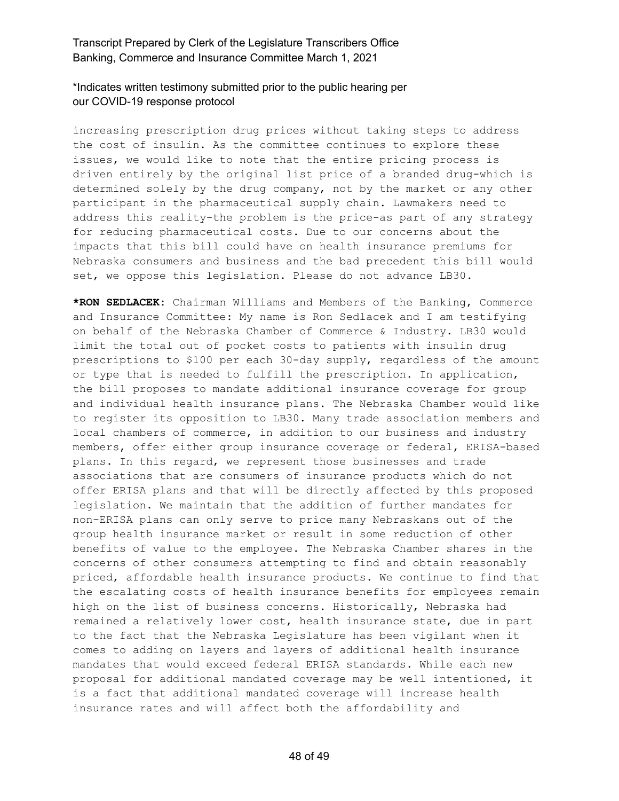#### \*Indicates written testimony submitted prior to the public hearing per our COVID-19 response protocol

increasing prescription drug prices without taking steps to address the cost of insulin. As the committee continues to explore these issues, we would like to note that the entire pricing process is driven entirely by the original list price of a branded drug-which is determined solely by the drug company, not by the market or any other participant in the pharmaceutical supply chain. Lawmakers need to address this reality-the problem is the price-as part of any strategy for reducing pharmaceutical costs. Due to our concerns about the impacts that this bill could have on health insurance premiums for Nebraska consumers and business and the bad precedent this bill would set, we oppose this legislation. Please do not advance LB30.

**\*RON SEDLACEK:** Chairman Williams and Members of the Banking, Commerce and Insurance Committee: My name is Ron Sedlacek and I am testifying on behalf of the Nebraska Chamber of Commerce & Industry. LB30 would limit the total out of pocket costs to patients with insulin drug prescriptions to \$100 per each 30-day supply, regardless of the amount or type that is needed to fulfill the prescription. In application, the bill proposes to mandate additional insurance coverage for group and individual health insurance plans. The Nebraska Chamber would like to register its opposition to LB30. Many trade association members and local chambers of commerce, in addition to our business and industry members, offer either group insurance coverage or federal, ERISA-based plans. In this regard, we represent those businesses and trade associations that are consumers of insurance products which do not offer ERISA plans and that will be directly affected by this proposed legislation. We maintain that the addition of further mandates for non-ERISA plans can only serve to price many Nebraskans out of the group health insurance market or result in some reduction of other benefits of value to the employee. The Nebraska Chamber shares in the concerns of other consumers attempting to find and obtain reasonably priced, affordable health insurance products. We continue to find that the escalating costs of health insurance benefits for employees remain high on the list of business concerns. Historically, Nebraska had remained a relatively lower cost, health insurance state, due in part to the fact that the Nebraska Legislature has been vigilant when it comes to adding on layers and layers of additional health insurance mandates that would exceed federal ERISA standards. While each new proposal for additional mandated coverage may be well intentioned, it is a fact that additional mandated coverage will increase health insurance rates and will affect both the affordability and